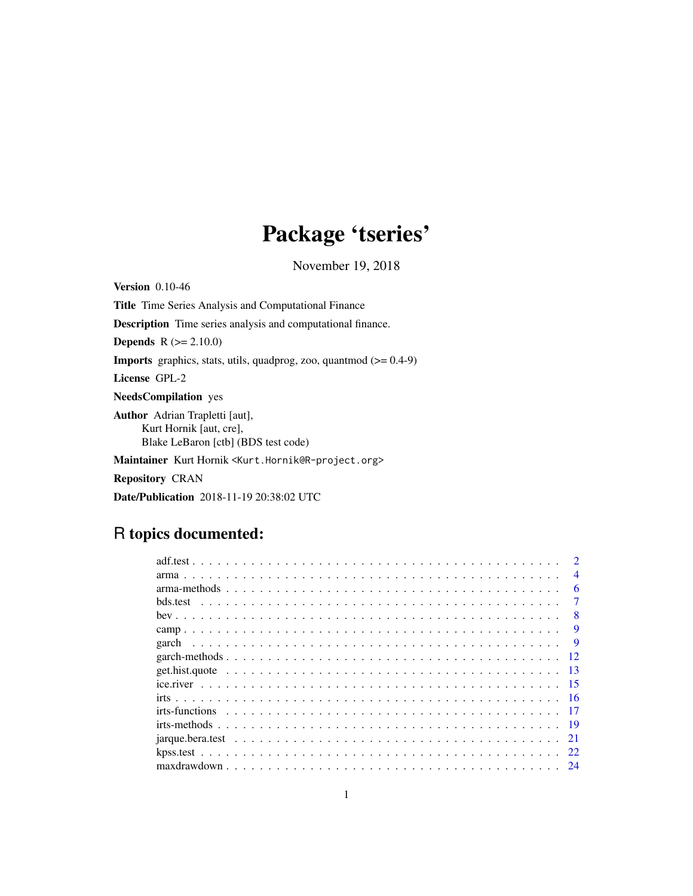# Package 'tseries'

November 19, 2018

<span id="page-0-0"></span>Version 0.10-46 Title Time Series Analysis and Computational Finance Description Time series analysis and computational finance. **Depends** R  $(>= 2.10.0)$ Imports graphics, stats, utils, quadprog, zoo, quantmod (>= 0.4-9) License GPL-2 NeedsCompilation yes Author Adrian Trapletti [aut], Kurt Hornik [aut, cre], Blake LeBaron [ctb] (BDS test code) Maintainer Kurt Hornik <Kurt.Hornik@R-project.org> Repository CRAN

Date/Publication 2018-11-19 20:38:02 UTC

# R topics documented:

|                                                                                                                           | $\mathcal{D}$            |
|---------------------------------------------------------------------------------------------------------------------------|--------------------------|
|                                                                                                                           | $\overline{\mathcal{A}}$ |
|                                                                                                                           | 6                        |
|                                                                                                                           |                          |
|                                                                                                                           | 8                        |
|                                                                                                                           | <b>Q</b>                 |
|                                                                                                                           | <b>9</b>                 |
|                                                                                                                           |                          |
|                                                                                                                           | -13                      |
|                                                                                                                           |                          |
|                                                                                                                           |                          |
|                                                                                                                           |                          |
|                                                                                                                           |                          |
|                                                                                                                           |                          |
|                                                                                                                           |                          |
| $maxdrawdown \dots \dots \dots \dots \dots \dots \dots \dots \dots \dots \dots \dots \dots \dots \dots \dots \dots \dots$ | -24                      |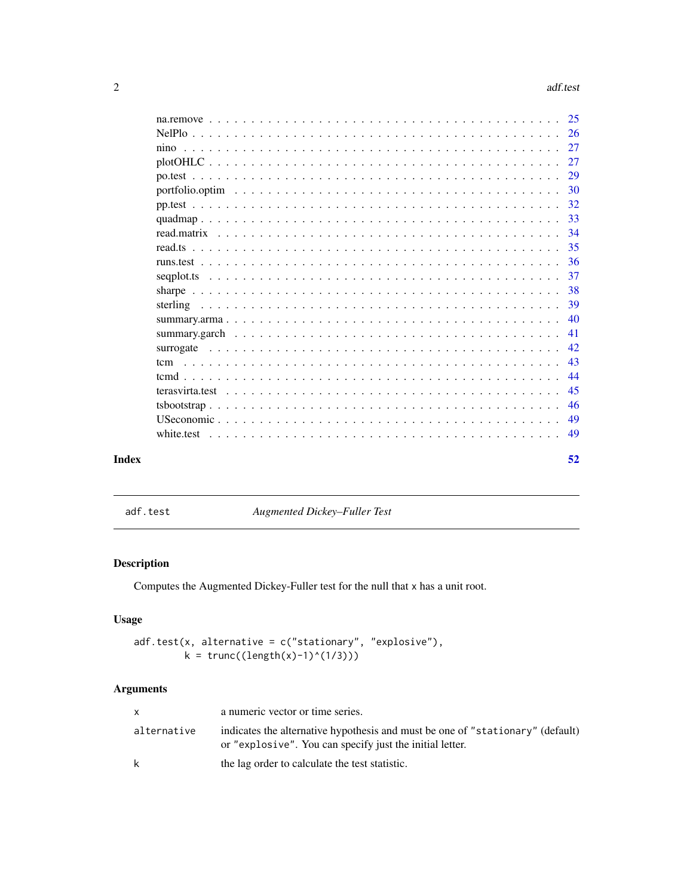<span id="page-1-0"></span>

|       | 27  |
|-------|-----|
|       | 27  |
|       | 29  |
|       | 30  |
|       | 32  |
|       |     |
|       | 34  |
|       | -35 |
|       | -36 |
|       |     |
|       | -38 |
|       |     |
|       | 40  |
|       |     |
|       | 42  |
|       |     |
|       | 44  |
|       | -45 |
|       | 46  |
|       |     |
|       |     |
| Index | 52  |

<span id="page-1-1"></span>adf.test *Augmented Dickey–Fuller Test*

## Description

Computes the Augmented Dickey-Fuller test for the null that x has a unit root.

#### Usage

```
adf.test(x, alternative = c("stationary", "explosive"),
        k = true((length(x)-1)^{(1/3)}))
```
### Arguments

|             | a numeric vector or time series.                                                                                                           |
|-------------|--------------------------------------------------------------------------------------------------------------------------------------------|
| alternative | indicates the alternative hypothesis and must be one of "stationary" (default)<br>or "explosive". You can specify just the initial letter. |
| k           | the lag order to calculate the test statistic.                                                                                             |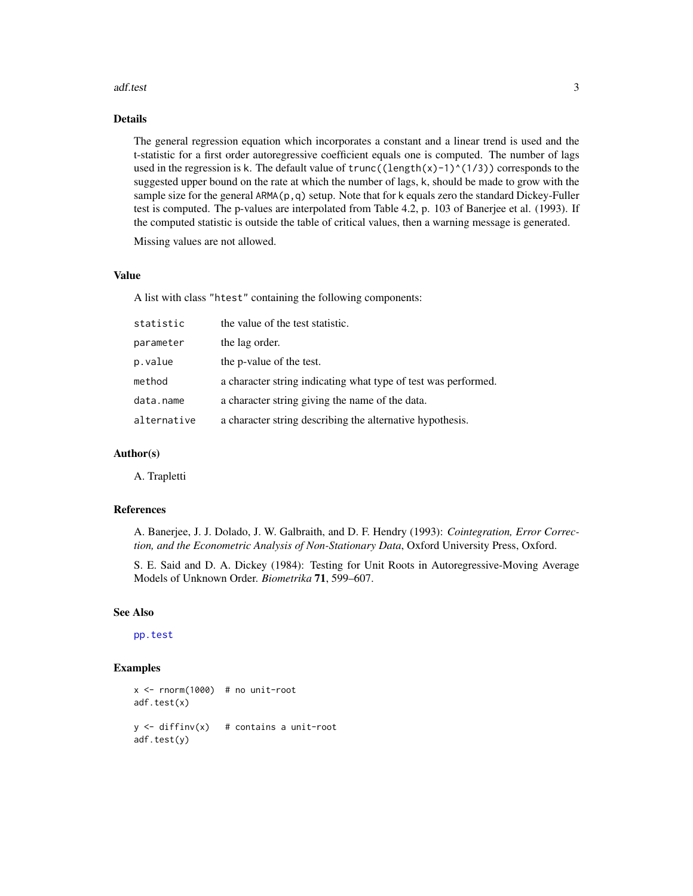#### <span id="page-2-0"></span>adf.test 3

#### Details

The general regression equation which incorporates a constant and a linear trend is used and the t-statistic for a first order autoregressive coefficient equals one is computed. The number of lags used in the regression is k. The default value of  $trunc((length(x)-1)^{(-1/3)})$  corresponds to the suggested upper bound on the rate at which the number of lags, k, should be made to grow with the sample size for the general ARMA(p,q) setup. Note that for k equals zero the standard Dickey-Fuller test is computed. The p-values are interpolated from Table 4.2, p. 103 of Banerjee et al. (1993). If the computed statistic is outside the table of critical values, then a warning message is generated.

Missing values are not allowed.

#### Value

A list with class "htest" containing the following components:

| statistic   | the value of the test statistic.                               |
|-------------|----------------------------------------------------------------|
| parameter   | the lag order.                                                 |
| p.value     | the p-value of the test.                                       |
| method      | a character string indicating what type of test was performed. |
| data.name   | a character string giving the name of the data.                |
| alternative | a character string describing the alternative hypothesis.      |

#### Author(s)

A. Trapletti

#### References

A. Banerjee, J. J. Dolado, J. W. Galbraith, and D. F. Hendry (1993): *Cointegration, Error Correction, and the Econometric Analysis of Non-Stationary Data*, Oxford University Press, Oxford.

S. E. Said and D. A. Dickey (1984): Testing for Unit Roots in Autoregressive-Moving Average Models of Unknown Order. *Biometrika* 71, 599–607.

#### See Also

[pp.test](#page-31-1)

```
x \le - rnorm(1000) # no unit-root
adf.test(x)
y \leftarrow diffinv(x) # contains a unit-root
adf.test(y)
```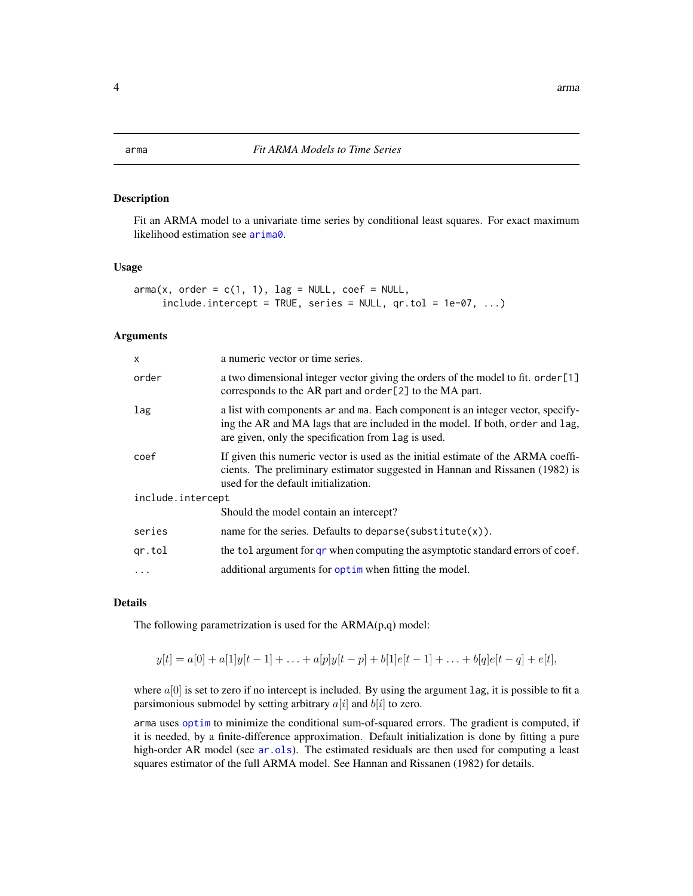<span id="page-3-1"></span><span id="page-3-0"></span>Fit an ARMA model to a univariate time series by conditional least squares. For exact maximum likelihood estimation see [arima0](#page-0-0).

#### Usage

```
arma(x, order = c(1, 1), lag = NULL, coef = NULL,include.intercept = TRUE, series = NULL, qr.tol = 1e-07, ...
```
#### Arguments

| $\mathsf{x}$      | a numeric vector or time series.                                                                                                                                                                                         |  |
|-------------------|--------------------------------------------------------------------------------------------------------------------------------------------------------------------------------------------------------------------------|--|
| order             | a two dimensional integer vector giving the orders of the model to fit. order[1]<br>corresponds to the AR part and order [2] to the MA part.                                                                             |  |
| lag               | a list with components ar and ma. Each component is an integer vector, specify-<br>ing the AR and MA lags that are included in the model. If both, order and lag,<br>are given, only the specification from lag is used. |  |
| coef              | If given this numeric vector is used as the initial estimate of the ARMA coeffi-<br>cients. The preliminary estimator suggested in Hannan and Rissanen (1982) is<br>used for the default initialization.                 |  |
| include.intercept |                                                                                                                                                                                                                          |  |
|                   | Should the model contain an intercept?                                                                                                                                                                                   |  |
| series            | name for the series. Defaults to deparse (substitute $(x)$ ).                                                                                                                                                            |  |
| gr.tol            | the tol argument for qr when computing the asymptotic standard errors of coef.                                                                                                                                           |  |
| $\cdot$           | additional arguments for optim when fitting the model.                                                                                                                                                                   |  |

#### Details

The following parametrization is used for the ARMA(p,q) model:

$$
y[t] = a[0] + a[1]y[t-1] + \ldots + a[p]y[t-p] + b[1]e[t-1] + \ldots + b[q]e[t-q] + e[t],
$$

where  $a[0]$  is set to zero if no intercept is included. By using the argument lag, it is possible to fit a parsimonious submodel by setting arbitrary  $a[i]$  and  $b[i]$  to zero.

arma uses [optim](#page-0-0) to minimize the conditional sum-of-squared errors. The gradient is computed, if it is needed, by a finite-difference approximation. Default initialization is done by fitting a pure high-order AR model (see [ar.ols](#page-0-0)). The estimated residuals are then used for computing a least squares estimator of the full ARMA model. See Hannan and Rissanen (1982) for details.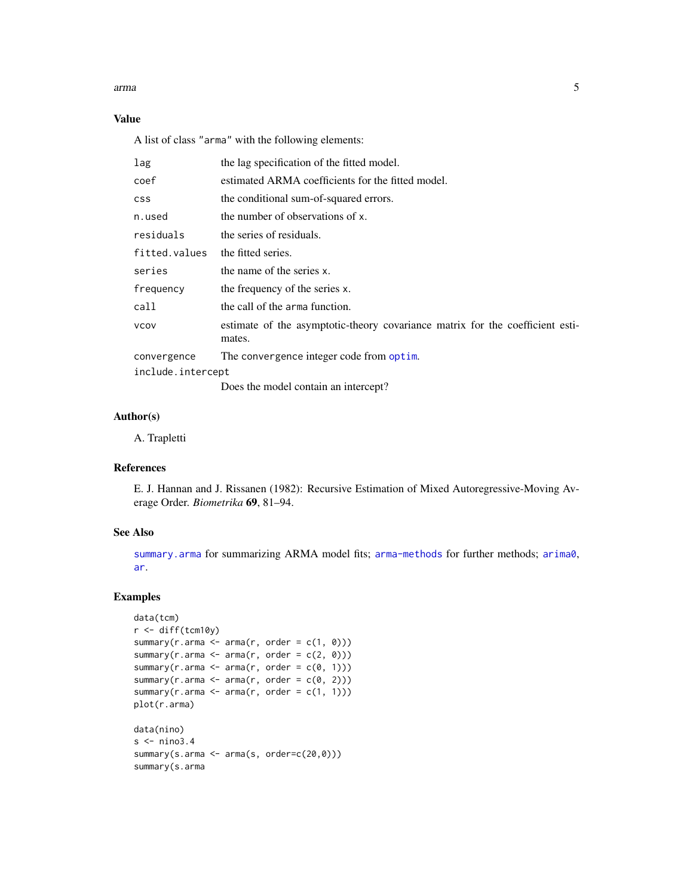#### <span id="page-4-0"></span>arma 55 anisotrophysical contract of the contract of the contract of the contract of the contract of the contract of the contract of the contract of the contract of the contract of the contract of the contract of the contr

#### Value

A list of class "arma" with the following elements:

| lag               | the lag specification of the fitted model.                                              |
|-------------------|-----------------------------------------------------------------------------------------|
| coef              | estimated ARMA coefficients for the fitted model.                                       |
| <b>CSS</b>        | the conditional sum-of-squared errors.                                                  |
| n.used            | the number of observations of x.                                                        |
| residuals         | the series of residuals.                                                                |
| fitted.values     | the fitted series.                                                                      |
| series            | the name of the series x.                                                               |
| frequency         | the frequency of the series x.                                                          |
| call              | the call of the arma function.                                                          |
| <b>VCOV</b>       | estimate of the asymptotic-theory covariance matrix for the coefficient esti-<br>mates. |
| convergence       | The convergence integer code from optim.                                                |
| include.intercept |                                                                                         |
|                   | Does the model contain an intercept?                                                    |

#### Author(s)

A. Trapletti

#### References

E. J. Hannan and J. Rissanen (1982): Recursive Estimation of Mixed Autoregressive-Moving Average Order. *Biometrika* 69, 81–94.

#### See Also

[summary.arma](#page-39-1) for summarizing ARMA model fits; [arma-methods](#page-5-1) for further methods; [arima0](#page-0-0), [ar](#page-0-0).

```
data(tcm)
r <- diff(tcm10y)
summary(r.arma \leq arma(r, order = c(1, 0)))
summary(r.arma <- arma(r, order = c(2, 0)))
summary(r.arma <- arma(r, order = c(0, 1)))
summary(r.arma <- arma(r, order = c(0, 2)))
summary(r.arma \leq arma(r, order = c(1, 1)))
plot(r.arma)
data(nino)
s < - nino3.4
summary(s.arma <- arma(s, order=c(20,0)))
summary(s.arma
```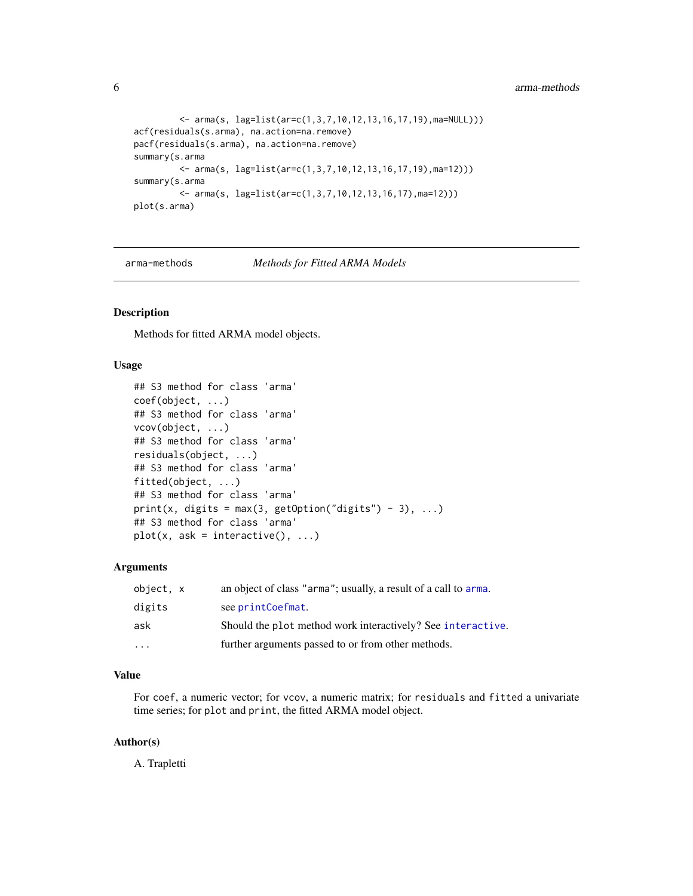#### <span id="page-5-0"></span>6 arma-methods

```
<- arma(s, lag=list(ar=c(1,3,7,10,12,13,16,17,19),ma=NULL)))
acf(residuals(s.arma), na.action=na.remove)
pacf(residuals(s.arma), na.action=na.remove)
summary(s.arma
         <- arma(s, lag=list(ar=c(1,3,7,10,12,13,16,17,19),ma=12)))
summary(s.arma
         <- arma(s, lag=list(ar=c(1,3,7,10,12,13,16,17),ma=12)))
plot(s.arma)
```
<span id="page-5-1"></span>arma-methods *Methods for Fitted ARMA Models*

#### Description

Methods for fitted ARMA model objects.

#### Usage

```
## S3 method for class 'arma'
coef(object, ...)
## S3 method for class 'arma'
vcov(object, ...)
## S3 method for class 'arma'
residuals(object, ...)
## S3 method for class 'arma'
fitted(object, ...)
## S3 method for class 'arma'
print(x, digits = max(3, getOption("digits") - 3), ...)
## S3 method for class 'arma'
plot(x, ask = interactive(), ...)
```
#### Arguments

| object, x | an object of class "arma"; usually, a result of a call to arma. |
|-----------|-----------------------------------------------------------------|
| digits    | see printCoefmat.                                               |
| ask       | Should the plot method work interactively? See interactive.     |
| $\cdots$  | further arguments passed to or from other methods.              |

#### Value

For coef, a numeric vector; for vcov, a numeric matrix; for residuals and fitted a univariate time series; for plot and print, the fitted ARMA model object.

#### Author(s)

A. Trapletti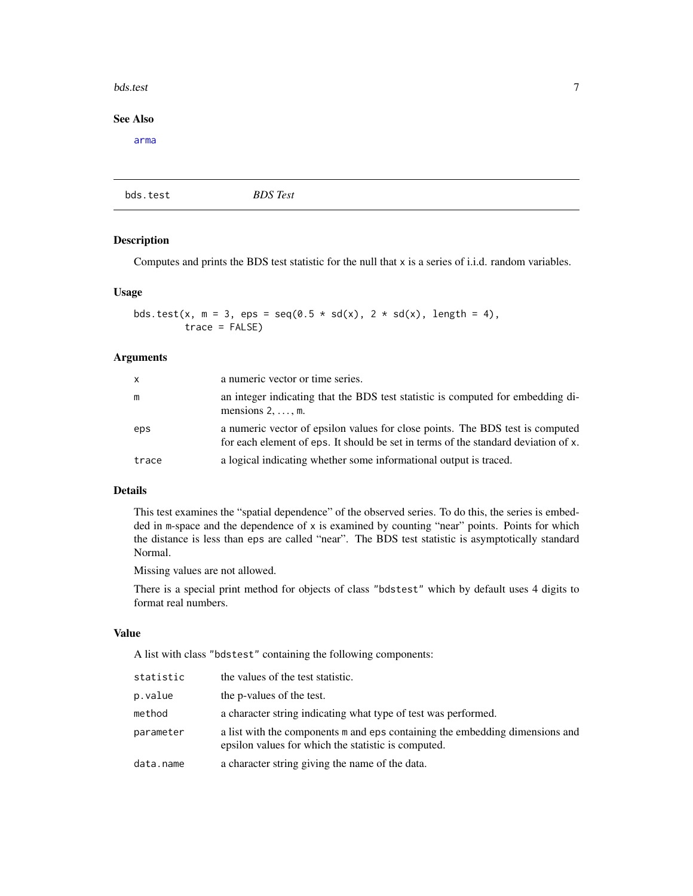#### <span id="page-6-0"></span>bds.test 7

#### See Also

[arma](#page-3-1)

| bds.test | <b>BDS</b> Test |  |
|----------|-----------------|--|
|          |                 |  |

#### Description

Computes and prints the BDS test statistic for the null that x is a series of i.i.d. random variables.

#### Usage

```
bds.test(x, m = 3, eps = seq(0.5 * sd(x), 2 * sd(x), length = 4),
         trace = FALSE)
```
#### Arguments

| $\mathsf{x}$ | a numeric vector or time series.                                                                                                                                    |
|--------------|---------------------------------------------------------------------------------------------------------------------------------------------------------------------|
| m            | an integer indicating that the BDS test statistic is computed for embedding di-<br>mensions $2, \ldots, m$ .                                                        |
| eps          | a numeric vector of epsilon values for close points. The BDS test is computed<br>for each element of eps. It should be set in terms of the standard deviation of x. |
| trace        | a logical indicating whether some informational output is traced.                                                                                                   |

#### Details

This test examines the "spatial dependence" of the observed series. To do this, the series is embedded in m-space and the dependence of x is examined by counting "near" points. Points for which the distance is less than eps are called "near". The BDS test statistic is asymptotically standard Normal.

Missing values are not allowed.

There is a special print method for objects of class "bdstest" which by default uses 4 digits to format real numbers.

#### Value

A list with class "bdstest" containing the following components:

| statistic | the values of the test statistic.                                                                                                   |
|-----------|-------------------------------------------------------------------------------------------------------------------------------------|
| p.value   | the p-values of the test.                                                                                                           |
| method    | a character string indicating what type of test was performed.                                                                      |
| parameter | a list with the components m and eps containing the embedding dimensions and<br>epsilon values for which the statistic is computed. |
| data.name | a character string giving the name of the data.                                                                                     |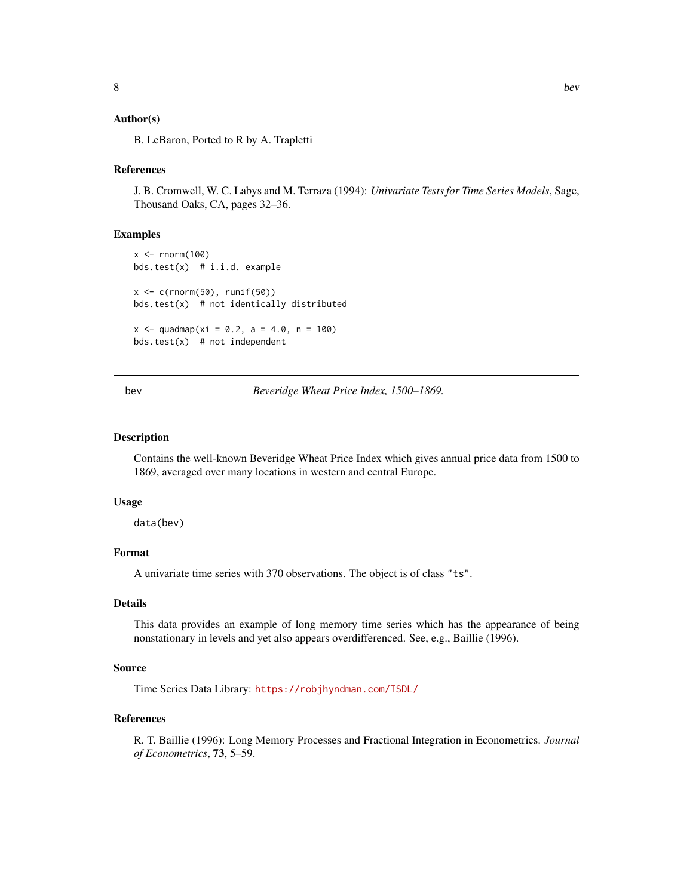#### <span id="page-7-0"></span>Author(s)

B. LeBaron, Ported to R by A. Trapletti

#### References

J. B. Cromwell, W. C. Labys and M. Terraza (1994): *Univariate Tests for Time Series Models*, Sage, Thousand Oaks, CA, pages 32–36.

#### Examples

```
x < - rnorm(100)
bds.test(x) # i.i.d. example
x \leftarrow c(\text{rnorm}(50), \text{runif}(50))bds.test(x) # not identically distributed
x \le - quadmap(x_i = 0.2, a = 4.0, n = 100)
bds.test(x) # not independent
```
bev *Beveridge Wheat Price Index, 1500–1869.*

#### Description

Contains the well-known Beveridge Wheat Price Index which gives annual price data from 1500 to 1869, averaged over many locations in western and central Europe.

#### Usage

data(bev)

#### Format

A univariate time series with 370 observations. The object is of class "ts".

#### Details

This data provides an example of long memory time series which has the appearance of being nonstationary in levels and yet also appears overdifferenced. See, e.g., Baillie (1996).

#### Source

Time Series Data Library: <https://robjhyndman.com/TSDL/>

#### References

R. T. Baillie (1996): Long Memory Processes and Fractional Integration in Econometrics. *Journal of Econometrics*, 73, 5–59.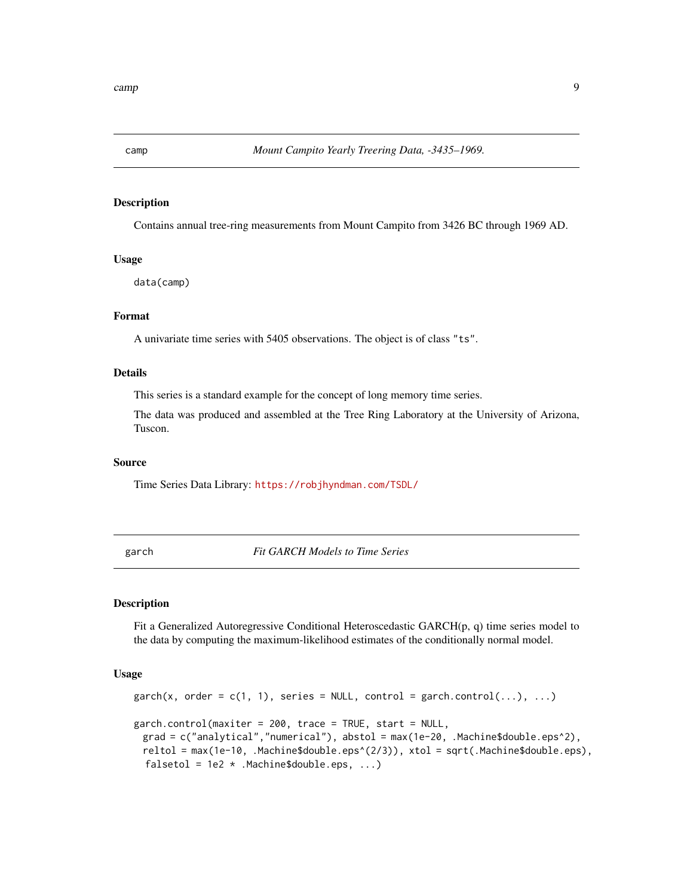<span id="page-8-0"></span>

Contains annual tree-ring measurements from Mount Campito from 3426 BC through 1969 AD.

#### Usage

data(camp)

#### Format

A univariate time series with 5405 observations. The object is of class "ts".

#### Details

This series is a standard example for the concept of long memory time series.

The data was produced and assembled at the Tree Ring Laboratory at the University of Arizona, Tuscon.

#### Source

Time Series Data Library: <https://robjhyndman.com/TSDL/>

<span id="page-8-1"></span>garch *Fit GARCH Models to Time Series*

#### Description

Fit a Generalized Autoregressive Conditional Heteroscedastic GARCH(p, q) time series model to the data by computing the maximum-likelihood estimates of the conditionally normal model.

#### Usage

```
garch(x, order = c(1, 1), series = NULL, control = garch.control(...), ...)
garch.control(maxiter = 200, trace = TRUE, start = NULL,
 grad = c("analytical","numerical"), abstol = max(1e-20, .Machine$double.eps^2),
 reltol = max(1e-10, .Machine$double.eps^(2/3)), xtol = sqrt(.Machine$double.eps),
 falsetol = 1e2 *. Machine$double.eps, ...)
```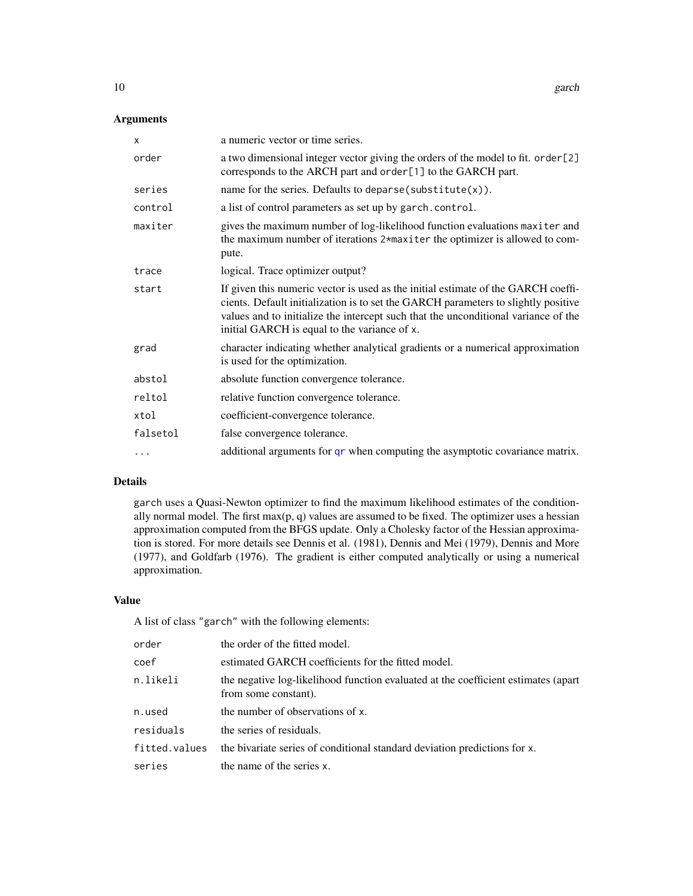#### <span id="page-9-0"></span>Arguments

| X        | a numeric vector or time series.                                                                                                                                                                                                                                                                              |
|----------|---------------------------------------------------------------------------------------------------------------------------------------------------------------------------------------------------------------------------------------------------------------------------------------------------------------|
| order    | a two dimensional integer vector giving the orders of the model to fit. order[2]<br>corresponds to the ARCH part and order[1] to the GARCH part.                                                                                                                                                              |
| series   | name for the series. Defaults to deparse(substitute(x)).                                                                                                                                                                                                                                                      |
| control  | a list of control parameters as set up by garch.control.                                                                                                                                                                                                                                                      |
| maxiter  | gives the maximum number of log-likelihood function evaluations maxiter and<br>the maximum number of iterations 2*maxiter the optimizer is allowed to com-<br>pute.                                                                                                                                           |
| trace    | logical. Trace optimizer output?                                                                                                                                                                                                                                                                              |
| start    | If given this numeric vector is used as the initial estimate of the GARCH coeffi-<br>cients. Default initialization is to set the GARCH parameters to slightly positive<br>values and to initialize the intercept such that the unconditional variance of the<br>initial GARCH is equal to the variance of x. |
| grad     | character indicating whether analytical gradients or a numerical approximation<br>is used for the optimization.                                                                                                                                                                                               |
| abstol   | absolute function convergence tolerance.                                                                                                                                                                                                                                                                      |
| reltol   | relative function convergence tolerance.                                                                                                                                                                                                                                                                      |
| xtol     | coefficient-convergence tolerance.                                                                                                                                                                                                                                                                            |
| falsetol | false convergence tolerance.                                                                                                                                                                                                                                                                                  |
| $\cdots$ | additional arguments for qr when computing the asymptotic covariance matrix.                                                                                                                                                                                                                                  |

#### Details

garch uses a Quasi-Newton optimizer to find the maximum likelihood estimates of the conditionally normal model. The first  $max(p, q)$  values are assumed to be fixed. The optimizer uses a hessian approximation computed from the BFGS update. Only a Cholesky factor of the Hessian approximation is stored. For more details see Dennis et al. (1981), Dennis and Mei (1979), Dennis and More (1977), and Goldfarb (1976). The gradient is either computed analytically or using a numerical approximation.

#### Value

A list of class "garch" with the following elements:

| order         | the order of the fitted model.                                                                             |
|---------------|------------------------------------------------------------------------------------------------------------|
| coef          | estimated GARCH coefficients for the fitted model.                                                         |
| n.likeli      | the negative log-likelihood function evaluated at the coefficient estimates (apart<br>from some constant). |
| n.used        | the number of observations of x.                                                                           |
| residuals     | the series of residuals.                                                                                   |
| fitted.values | the bivariate series of conditional standard deviation predictions for x.                                  |
| series        | the name of the series x.                                                                                  |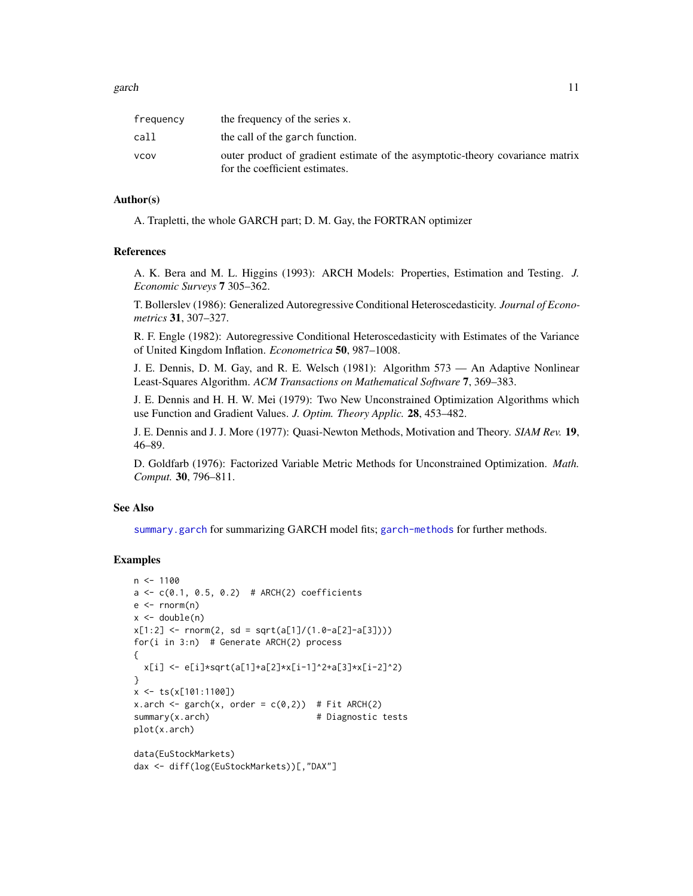<span id="page-10-0"></span>

| frequency | the frequency of the series x.                                                                                  |
|-----------|-----------------------------------------------------------------------------------------------------------------|
| call      | the call of the garch function.                                                                                 |
| vcov      | outer product of gradient estimate of the asymptotic-theory covariance matrix<br>for the coefficient estimates. |

#### Author(s)

A. Trapletti, the whole GARCH part; D. M. Gay, the FORTRAN optimizer

#### References

A. K. Bera and M. L. Higgins (1993): ARCH Models: Properties, Estimation and Testing. *J. Economic Surveys* 7 305–362.

T. Bollerslev (1986): Generalized Autoregressive Conditional Heteroscedasticity. *Journal of Econometrics* 31, 307–327.

R. F. Engle (1982): Autoregressive Conditional Heteroscedasticity with Estimates of the Variance of United Kingdom Inflation. *Econometrica* 50, 987–1008.

J. E. Dennis, D. M. Gay, and R. E. Welsch (1981): Algorithm 573 — An Adaptive Nonlinear Least-Squares Algorithm. *ACM Transactions on Mathematical Software* 7, 369–383.

J. E. Dennis and H. H. W. Mei (1979): Two New Unconstrained Optimization Algorithms which use Function and Gradient Values. *J. Optim. Theory Applic.* 28, 453–482.

J. E. Dennis and J. J. More (1977): Quasi-Newton Methods, Motivation and Theory. *SIAM Rev.* 19, 46–89.

D. Goldfarb (1976): Factorized Variable Metric Methods for Unconstrained Optimization. *Math. Comput.* 30, 796–811.

#### See Also

[summary.garch](#page-40-1) for summarizing GARCH model fits; [garch-methods](#page-11-1) for further methods.

```
n < -1100a \leq c(0.1, 0.5, 0.2) # ARCH(2) coefficients
e \le - rnorm(n)x \leftarrow double(n)x[1:2] <- rnorm(2, sd = sqrt(a[1]/(1.0-a[2]-a[3])))
for(i in 3:n) # Generate ARCH(2) process
\mathfrak{t}x[i] <- e[i]*sqrt(a[1]+a[2]*x[i-1]^2+a[3]*x[i-2]^2)
}
x <- ts(x[101:1100])
x.arch <- garch(x, order = c(\emptyset, 2)) # Fit ARCH(2)
summary(x.arch) \qquad # Diagnostic tests
plot(x.arch)
data(EuStockMarkets)
dax <- diff(log(EuStockMarkets))[,"DAX"]
```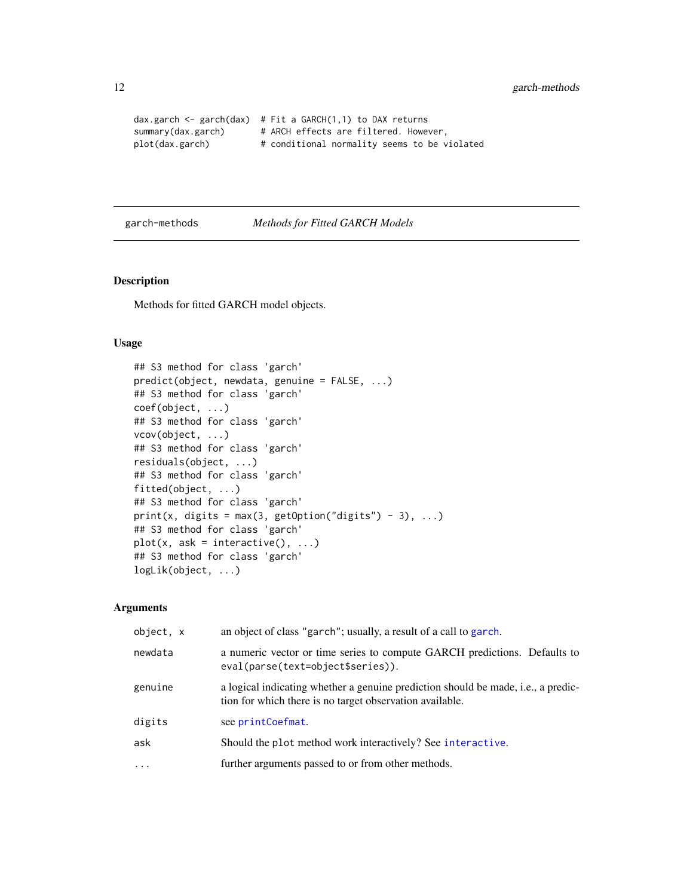<span id="page-11-0"></span>12 garch-methods

```
dax.garch <- garch(dax) # Fit a GARCH(1,1) to DAX returns
summary(dax.garch) # ARCH effects are filtered. However,
plot(dax.garch) # conditional normality seems to be violated
```
<span id="page-11-1"></span>garch-methods *Methods for Fitted GARCH Models*

#### Description

Methods for fitted GARCH model objects.

#### Usage

```
## S3 method for class 'garch'
predict(object, newdata, genuine = FALSE, ...)
## S3 method for class 'garch'
coef(object, ...)
## S3 method for class 'garch'
vcov(object, ...)
## S3 method for class 'garch'
residuals(object, ...)
## S3 method for class 'garch'
fitted(object, ...)
## S3 method for class 'garch'
print(x, digits = max(3, getOption("digits") - 3), ...)## S3 method for class 'garch'
plot(x, ask = interactive(), ...)## S3 method for class 'garch'
logLik(object, ...)
```
#### Arguments

| object, x  | an object of class "garch"; usually, a result of a call to garch.                                                                             |
|------------|-----------------------------------------------------------------------------------------------------------------------------------------------|
| newdata    | a numeric vector or time series to compute GARCH predictions. Defaults to<br>eval(parse(text=object\$series)).                                |
| genuine    | a logical indicating whether a genuine prediction should be made, i.e., a predic-<br>tion for which there is no target observation available. |
| digits     | see printCoefmat.                                                                                                                             |
| ask        | Should the plot method work interactively? See interactive.                                                                                   |
| $\ddots$ . | further arguments passed to or from other methods.                                                                                            |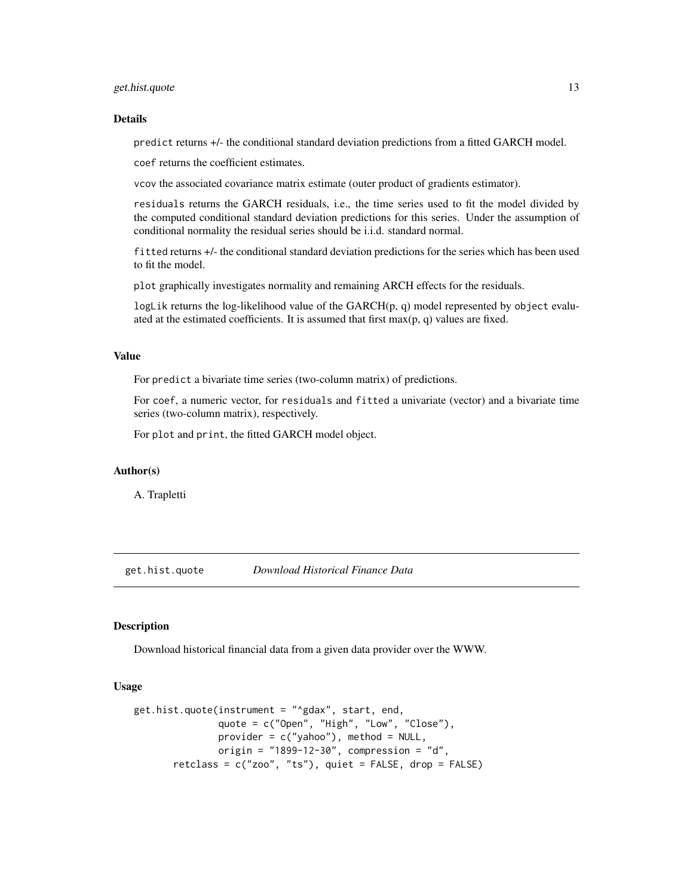#### <span id="page-12-0"></span>get.hist.quote 13

#### Details

predict returns +/- the conditional standard deviation predictions from a fitted GARCH model.

coef returns the coefficient estimates.

vcov the associated covariance matrix estimate (outer product of gradients estimator).

residuals returns the GARCH residuals, i.e., the time series used to fit the model divided by the computed conditional standard deviation predictions for this series. Under the assumption of conditional normality the residual series should be i.i.d. standard normal.

fitted returns +/- the conditional standard deviation predictions for the series which has been used to fit the model.

plot graphically investigates normality and remaining ARCH effects for the residuals.

logLik returns the log-likelihood value of the GARCH(p, q) model represented by object evaluated at the estimated coefficients. It is assumed that first  $max(p, q)$  values are fixed.

#### Value

For predict a bivariate time series (two-column matrix) of predictions.

For coef, a numeric vector, for residuals and fitted a univariate (vector) and a bivariate time series (two-column matrix), respectively.

For plot and print, the fitted GARCH model object.

#### Author(s)

A. Trapletti

<span id="page-12-1"></span>get.hist.quote *Download Historical Finance Data*

#### Description

Download historical financial data from a given data provider over the WWW.

#### Usage

```
get.hist.quote(instrument = "^gdax", start, end,
               quote = c("Open", "High", "Low", "Close"),
               provider = c("yahoo"), method = NULL,
              origin = "1899-12-30", compression = "d",
       retclass = c("zoo", "ts"), quiet = FALSE, drop = FALSE)
```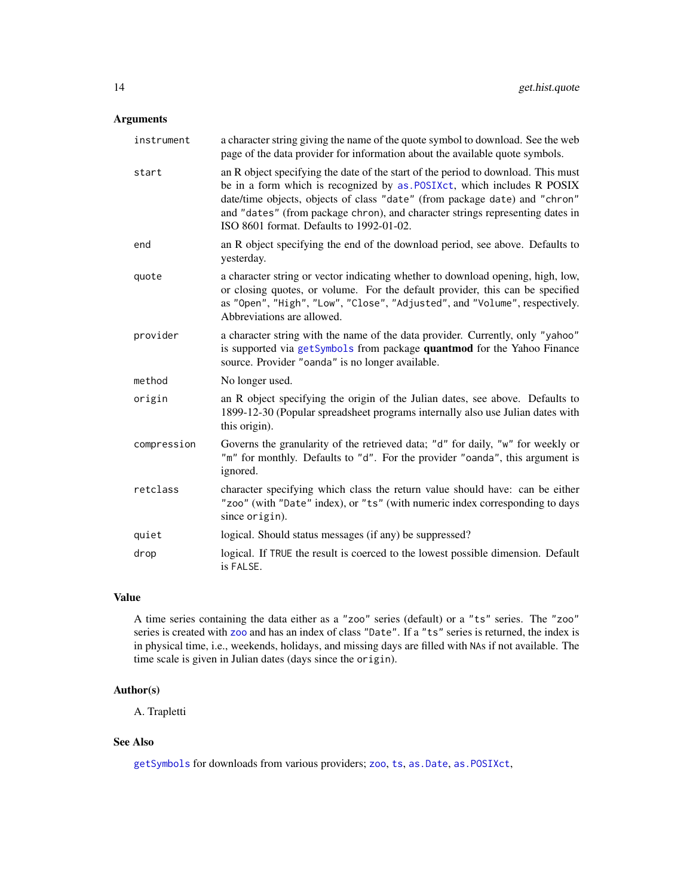#### <span id="page-13-0"></span>Arguments

| instrument  | a character string giving the name of the quote symbol to download. See the web<br>page of the data provider for information about the available quote symbols.                                                                                                                                                                                                        |
|-------------|------------------------------------------------------------------------------------------------------------------------------------------------------------------------------------------------------------------------------------------------------------------------------------------------------------------------------------------------------------------------|
| start       | an R object specifying the date of the start of the period to download. This must<br>be in a form which is recognized by as POSIXct, which includes R POSIX<br>date/time objects, objects of class "date" (from package date) and "chron"<br>and "dates" (from package chron), and character strings representing dates in<br>ISO 8601 format. Defaults to 1992-01-02. |
| end         | an R object specifying the end of the download period, see above. Defaults to<br>yesterday.                                                                                                                                                                                                                                                                            |
| quote       | a character string or vector indicating whether to download opening, high, low,<br>or closing quotes, or volume. For the default provider, this can be specified<br>as "Open", "High", "Low", "Close", "Adjusted", and "Volume", respectively.<br>Abbreviations are allowed.                                                                                           |
| provider    | a character string with the name of the data provider. Currently, only "yahoo"<br>is supported via getSymbols from package quantmod for the Yahoo Finance<br>source. Provider "oanda" is no longer available.                                                                                                                                                          |
| method      | No longer used.                                                                                                                                                                                                                                                                                                                                                        |
| origin      | an R object specifying the origin of the Julian dates, see above. Defaults to<br>1899-12-30 (Popular spreadsheet programs internally also use Julian dates with<br>this origin).                                                                                                                                                                                       |
| compression | Governs the granularity of the retrieved data; "d" for daily, "w" for weekly or<br>"m" for monthly. Defaults to "d". For the provider "oanda", this argument is<br>ignored.                                                                                                                                                                                            |
| retclass    | character specifying which class the return value should have: can be either<br>"zoo" (with "Date" index), or "ts" (with numeric index corresponding to days<br>since origin).                                                                                                                                                                                         |
| quiet       | logical. Should status messages (if any) be suppressed?                                                                                                                                                                                                                                                                                                                |
| drop        | logical. If TRUE the result is coerced to the lowest possible dimension. Default<br>is FALSE.                                                                                                                                                                                                                                                                          |

#### Value

A time series containing the data either as a "zoo" series (default) or a "ts" series. The "zoo" series is created with [zoo](#page-0-0) and has an index of class "Date". If a "ts" series is returned, the index is in physical time, i.e., weekends, holidays, and missing days are filled with NAs if not available. The time scale is given in Julian dates (days since the origin).

#### Author(s)

A. Trapletti

#### See Also

[getSymbols](#page-0-0) for downloads from various providers; [zoo](#page-0-0), [ts](#page-0-0), [as.Date](#page-0-0), [as.POSIXct](#page-0-0),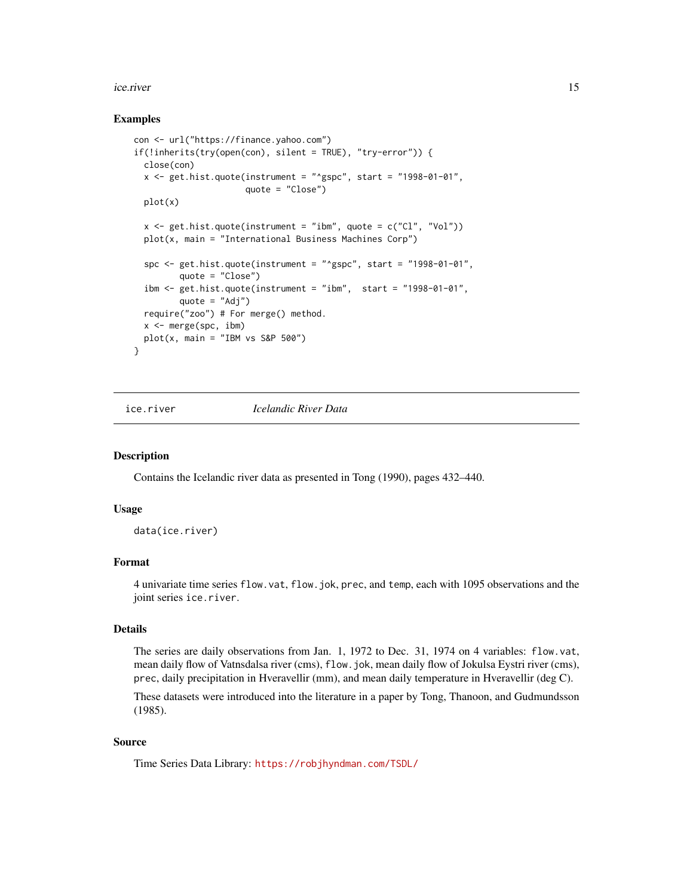#### <span id="page-14-0"></span>ice.river 15

#### Examples

```
con <- url("https://finance.yahoo.com")
if(!inherits(try(open(con), silent = TRUE), "try-error")) {
 close(con)
 x \leq get.hist.quote(instrument = "^gspc", start = "1998-01-01",
                      quote = "Close")
 plot(x)
 x \leq get.hist.quote(instrument = "ibm", quote = c("Cl", "Vol"))
 plot(x, main = "International Business Machines Corp")
 spc \leq get.hist.quote(instrument = "\trianglegspc", start = "1998-01-01",
         quote = "Close")
 ibm \le get.hist.quote(instrument = "ibm", start = "1998-01-01",
         quote = "Adj")
 require("zoo") # For merge() method.
 x \le - merge(spc, ibm)
 plot(x, main = "IBM vs S&P 500")}
```
ice.river *Icelandic River Data*

#### Description

Contains the Icelandic river data as presented in Tong (1990), pages 432–440.

#### Usage

data(ice.river)

#### Format

4 univariate time series flow.vat, flow.jok, prec, and temp, each with 1095 observations and the joint series ice.river.

#### Details

The series are daily observations from Jan. 1, 1972 to Dec. 31, 1974 on 4 variables: flow.vat, mean daily flow of Vatnsdalsa river (cms), flow.jok, mean daily flow of Jokulsa Eystri river (cms), prec, daily precipitation in Hveravellir (mm), and mean daily temperature in Hveravellir (deg C).

These datasets were introduced into the literature in a paper by Tong, Thanoon, and Gudmundsson (1985).

#### Source

Time Series Data Library: <https://robjhyndman.com/TSDL/>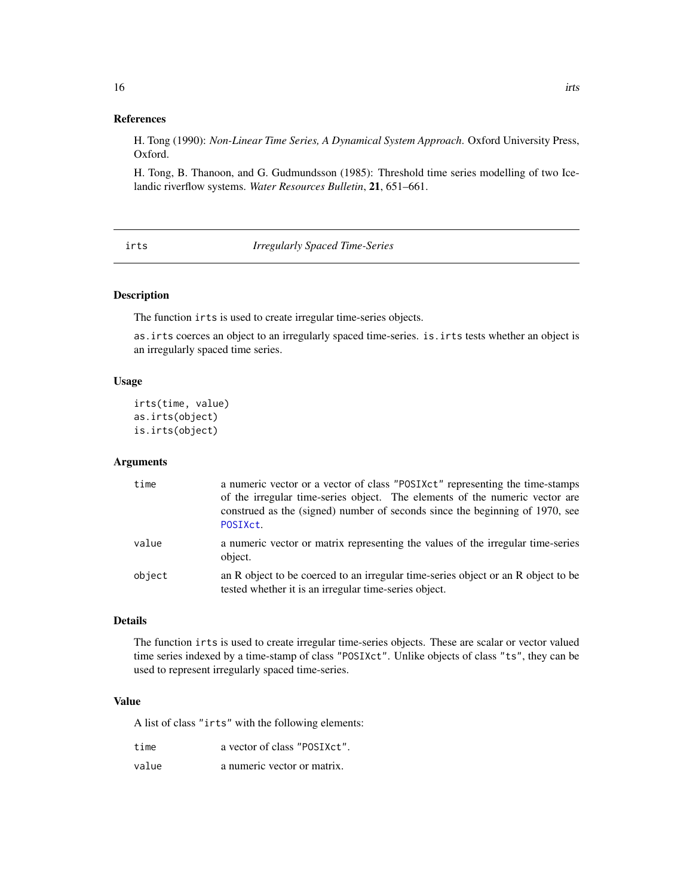#### References

H. Tong (1990): *Non-Linear Time Series, A Dynamical System Approach*. Oxford University Press, Oxford.

H. Tong, B. Thanoon, and G. Gudmundsson (1985): Threshold time series modelling of two Icelandic riverflow systems. *Water Resources Bulletin*, 21, 651–661.

#### <span id="page-15-1"></span>irts *Irregularly Spaced Time-Series*

#### Description

The function irts is used to create irregular time-series objects.

as.irts coerces an object to an irregularly spaced time-series. is.irts tests whether an object is an irregularly spaced time series.

#### Usage

```
irts(time, value)
as.irts(object)
is.irts(object)
```
#### Arguments

| time   | a numeric vector or a vector of class "POSIXct" representing the time-stamps<br>of the irregular time-series object. The elements of the numeric vector are<br>construed as the (signed) number of seconds since the beginning of 1970, see<br>POSIX <sub>ct</sub> . |
|--------|----------------------------------------------------------------------------------------------------------------------------------------------------------------------------------------------------------------------------------------------------------------------|
| value  | a numeric vector or matrix representing the values of the irregular time-series<br>object.                                                                                                                                                                           |
| object | an R object to be coerced to an irregular time-series object or an R object to be<br>tested whether it is an irregular time-series object.                                                                                                                           |

#### Details

The function irts is used to create irregular time-series objects. These are scalar or vector valued time series indexed by a time-stamp of class "POSIXct". Unlike objects of class "ts", they can be used to represent irregularly spaced time-series.

#### Value

A list of class "irts" with the following elements:

| time | a vector of class "POSIXct". |  |
|------|------------------------------|--|
|      |                              |  |

value a numeric vector or matrix.

<span id="page-15-0"></span>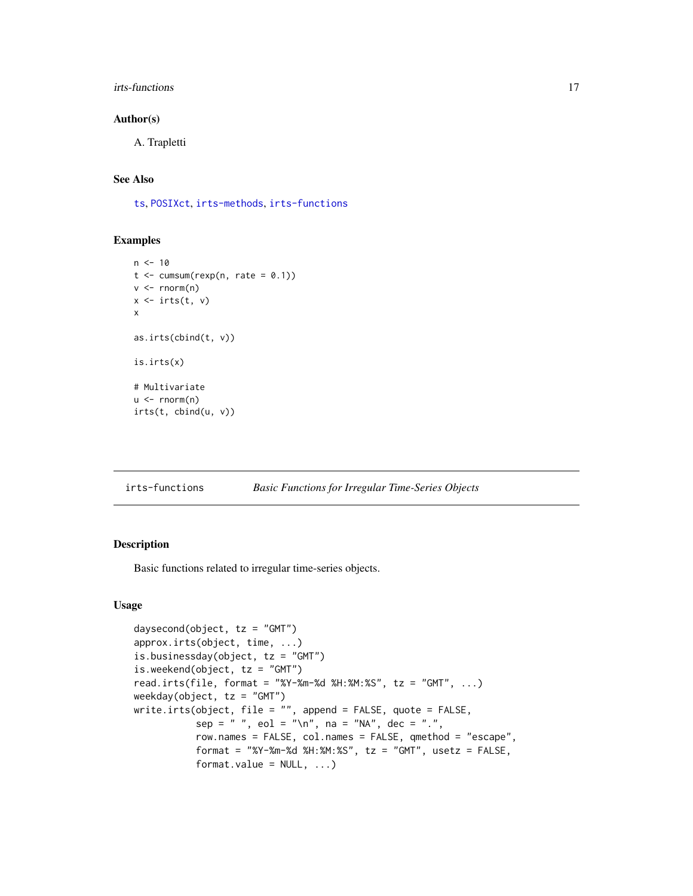#### <span id="page-16-0"></span>irts-functions 17

#### Author(s)

A. Trapletti

#### See Also

[ts](#page-0-0), [POSIXct](#page-0-0), [irts-methods](#page-18-1), [irts-functions](#page-16-1)

#### Examples

```
n < -10t \leq -\text{cumsum}(\text{resp}(n, \text{ rate } = 0.1))v < - rnorm(n)
x \leftarrow \text{irts}(t, v)x
as.irts(cbind(t, v))
is.irts(x)
# Multivariate
u \leq -rnorm(n)irts(t, cbind(u, v))
```
<span id="page-16-1"></span>

| irts-functions |  | <b>Basic Functions for Irregular Time-Series Objects</b> |  |  |  |  |  |
|----------------|--|----------------------------------------------------------|--|--|--|--|--|
|----------------|--|----------------------------------------------------------|--|--|--|--|--|

#### Description

Basic functions related to irregular time-series objects.

#### Usage

```
daysecond(object, tz = "GMT")approx.irts(object, time, ...)
is.businessday(object, tz = "GMT")is.weekend(object, tz = "GMT")
read.irts(file, format = "%Y-%m-%d %H:%M:%S", tz = "GMT", ...)
weekday(object, tz = "GMT")
write.irts(object, file = "", append = FALSE, quote = FALSE,
           sep = " ", eol = "\n", na = "NA", dec = ".",
           row.names = FALSE, col.names = FALSE, qmethod = "escape",
          format = "%Y-%m-%d %H:%M:%S", tz = "GMT", usetz = FALSE,
           format.value = NULL, ...)
```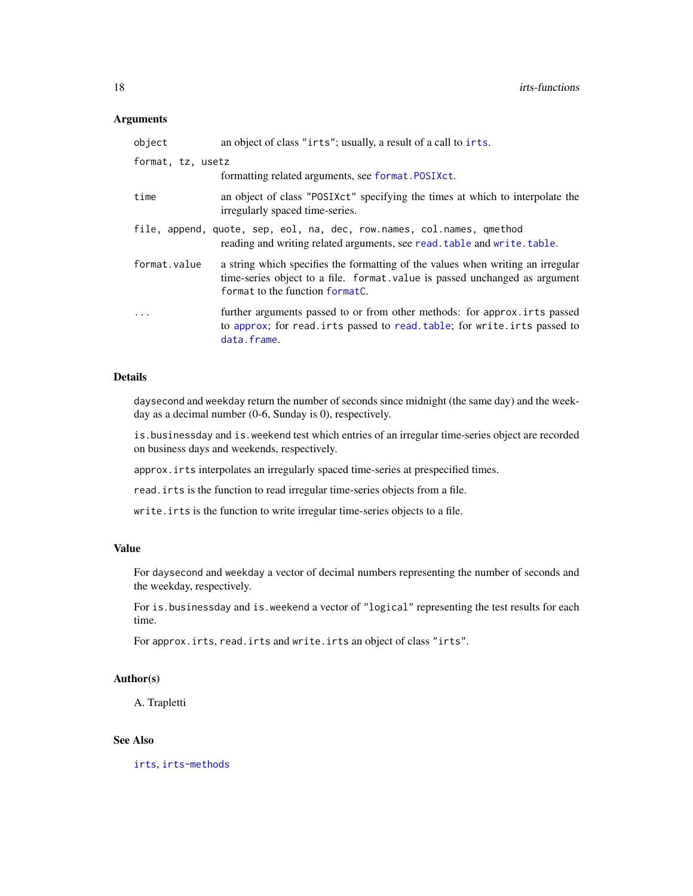#### <span id="page-17-0"></span>Arguments

| object            | an object of class "irts"; usually, a result of a call to irts.                                                                                                                                  |
|-------------------|--------------------------------------------------------------------------------------------------------------------------------------------------------------------------------------------------|
| format, tz, usetz |                                                                                                                                                                                                  |
|                   | formatting related arguments, see format. POSIXct.                                                                                                                                               |
| time              | an object of class "POSIXct" specifying the times at which to interpolate the<br>irregularly spaced time-series.                                                                                 |
|                   | file, append, quote, sep, eol, na, dec, row.names, col.names, qmethod<br>reading and writing related arguments, see read. table and write. table.                                                |
| format.value      | a string which specifies the formatting of the values when writing an irregular<br>time-series object to a file. format value is passed unchanged as argument<br>format to the function formatC. |
| .                 | further arguments passed to or from other methods: for approx. ints passed<br>to approx; for read.irts passed to read.table; for write.irts passed to<br>data.frame.                             |

#### Details

daysecond and weekday return the number of seconds since midnight (the same day) and the weekday as a decimal number (0-6, Sunday is 0), respectively.

is.businessday and is.weekend test which entries of an irregular time-series object are recorded on business days and weekends, respectively.

approx.irts interpolates an irregularly spaced time-series at prespecified times.

read.irts is the function to read irregular time-series objects from a file.

write.irts is the function to write irregular time-series objects to a file.

#### Value

For daysecond and weekday a vector of decimal numbers representing the number of seconds and the weekday, respectively.

For is.businessday and is.weekend a vector of "logical" representing the test results for each time.

For approx.irts, read.irts and write.irts an object of class "irts".

#### Author(s)

A. Trapletti

#### See Also

[irts](#page-15-1), [irts-methods](#page-18-1)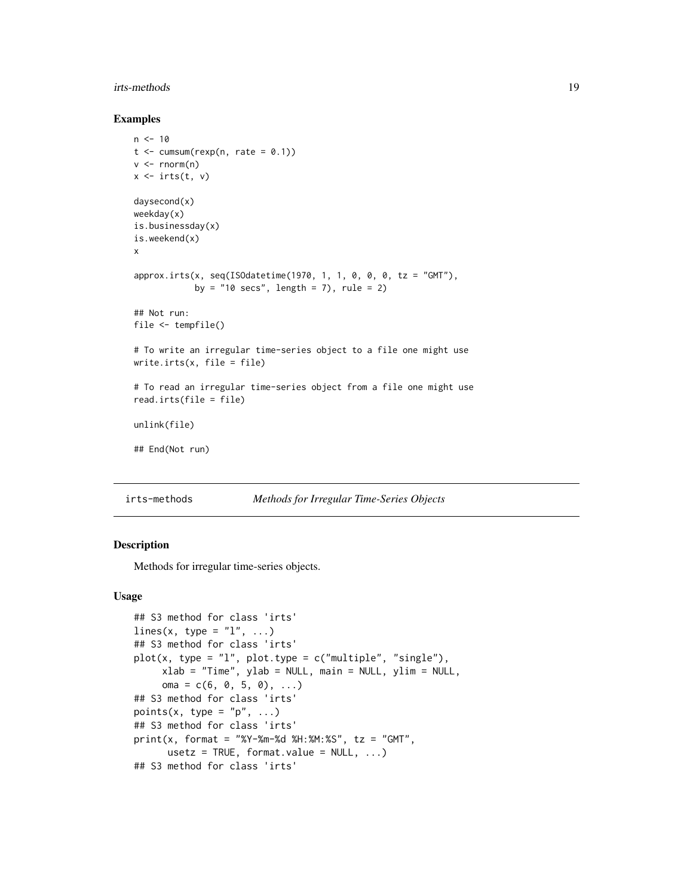#### <span id="page-18-0"></span>irts-methods 19

#### Examples

```
n < -10t <- cumsum(rexp(n, rate = 0.1))
v \le - rnorm(n)x \leftarrow \text{irts}(t, v)daysecond(x)
weekday(x)
is.businessday(x)
is.weekend(x)
x
approx.irts(x, seq(ISOdatetime(1970, 1, 1, 0, 0, 0, tz = "GMT"),
            by = "10 \text{ secs}", length = 7), rule = 2)
## Not run:
file <- tempfile()
# To write an irregular time-series object to a file one might use
write.irts(x, file = file)
# To read an irregular time-series object from a file one might use
read.irts(file = file)
unlink(file)
## End(Not run)
```
<span id="page-18-1"></span>irts-methods *Methods for Irregular Time-Series Objects*

#### Description

Methods for irregular time-series objects.

#### Usage

```
## S3 method for class 'irts'
lines(x, type = "1", \ldots)## S3 method for class 'irts'
plot(x, type = "l", plot_type = c("multiple", "single"),xlab = "Time", ylab = NULL, main = NULL, ylim = NULL,oma = c(6, 0, 5, 0), ...## S3 method for class 'irts'
points(x, type = "p", \ldots)## S3 method for class 'irts'
print(x, from at = "XY-Xm-Xd XH:XX'S", tz = "GMT",usetz = TRUE, format.value = NULL, ...)## S3 method for class 'irts'
```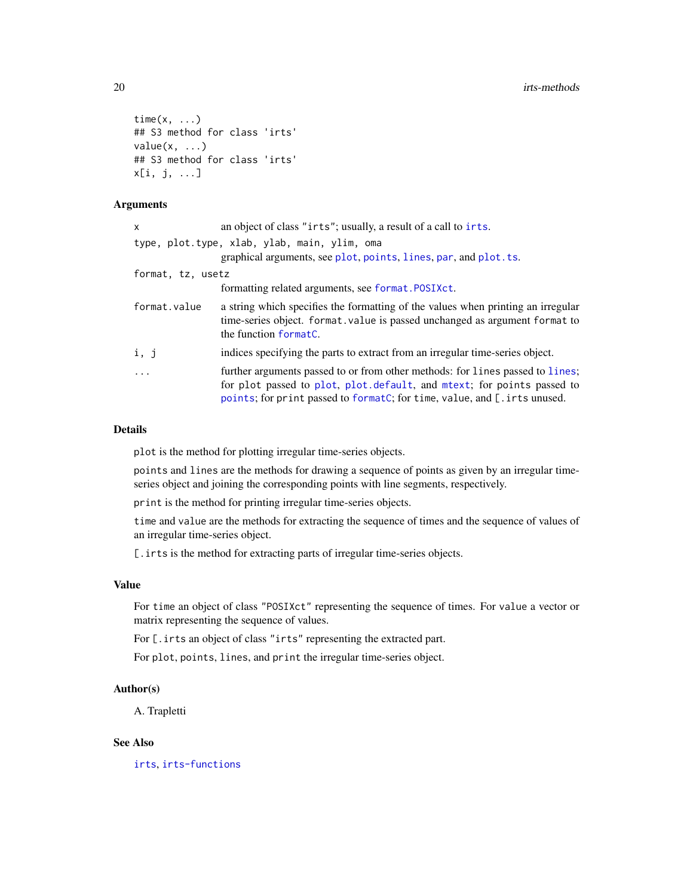```
time(x, \ldots)## S3 method for class 'irts'
value(x, \ldots)## S3 method for class 'irts'
x[i, j, ...]
```
#### Arguments

| x                 | an object of class "irts"; usually, a result of a call to irts.                                                                                                                                                                      |
|-------------------|--------------------------------------------------------------------------------------------------------------------------------------------------------------------------------------------------------------------------------------|
|                   | type, plot.type, xlab, ylab, main, ylim, oma                                                                                                                                                                                         |
|                   | graphical arguments, see plot, points, lines, par, and plot. ts.                                                                                                                                                                     |
| format, tz, usetz |                                                                                                                                                                                                                                      |
|                   | formatting related arguments, see format.POSIXct.                                                                                                                                                                                    |
| format.value      | a string which specifies the formatting of the values when printing an irregular<br>time-series object. format value is passed unchanged as argument format to<br>the function formatC.                                              |
| i, j              | indices specifying the parts to extract from an irregular time-series object.                                                                                                                                                        |
| $\ddots$          | further arguments passed to or from other methods: for lines passed to lines;<br>for plot passed to plot, plot default, and mitext; for points passed to<br>points; for print passed to formatC; for time, value, and [.irts unused. |

#### Details

plot is the method for plotting irregular time-series objects.

points and lines are the methods for drawing a sequence of points as given by an irregular timeseries object and joining the corresponding points with line segments, respectively.

print is the method for printing irregular time-series objects.

time and value are the methods for extracting the sequence of times and the sequence of values of an irregular time-series object.

[.irts is the method for extracting parts of irregular time-series objects.

#### Value

For time an object of class "POSIXct" representing the sequence of times. For value a vector or matrix representing the sequence of values.

For [.irts an object of class "irts" representing the extracted part.

For plot, points, lines, and print the irregular time-series object.

#### Author(s)

A. Trapletti

#### See Also

[irts](#page-15-1), [irts-functions](#page-16-1)

<span id="page-19-0"></span>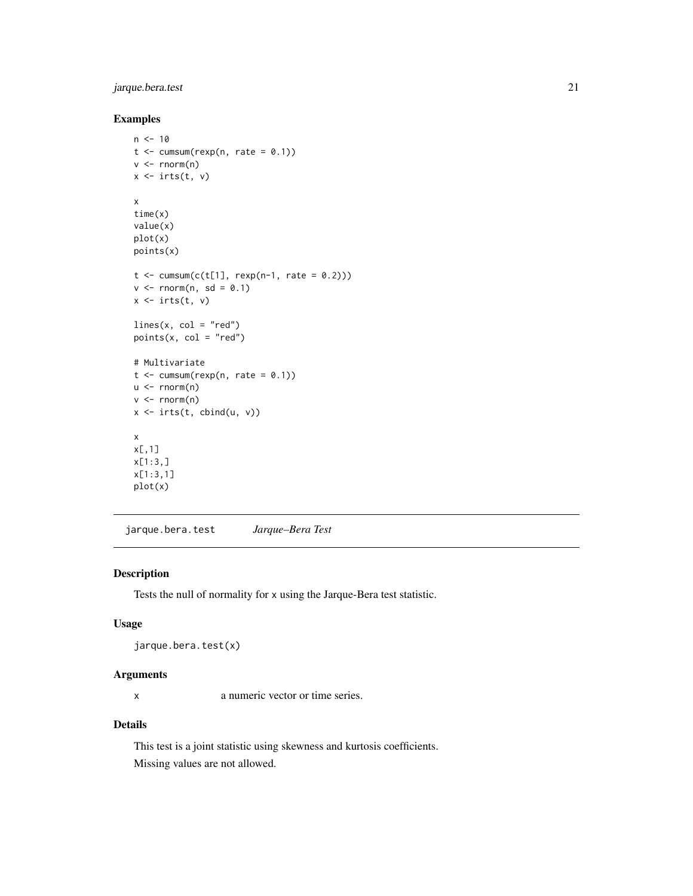#### <span id="page-20-0"></span>jarque.bera.test 21

#### Examples

```
n < -10t <- cumsum(rexp(n, rate = 0.1))
v < - rnorm(n)x \leftarrow \text{irts}(t, v)x
time(x)
value(x)
plot(x)
points(x)
t < -c cumsum(c(t[1], rexp(n-1, rate = 0.2)))
v \le rnorm(n, sd = 0.1)
x \leftarrow \text{irts}(t, v)lines(x, col = "red")points(x, col = "red")# Multivariate
t \le cumsum(rexp(n, rate = 0.1))
u \leftarrow \text{norm}(n)v \le - rnorm(n)x \leftarrow \text{irts}(t, \text{cbind}(u, v))x
x[,1]
x[1:3,]
x[1:3,1]
plot(x)
```
<span id="page-20-1"></span>jarque.bera.test *Jarque–Bera Test*

#### Description

Tests the null of normality for x using the Jarque-Bera test statistic.

#### Usage

```
jarque.bera.test(x)
```
#### Arguments

x a numeric vector or time series.

#### Details

This test is a joint statistic using skewness and kurtosis coefficients. Missing values are not allowed.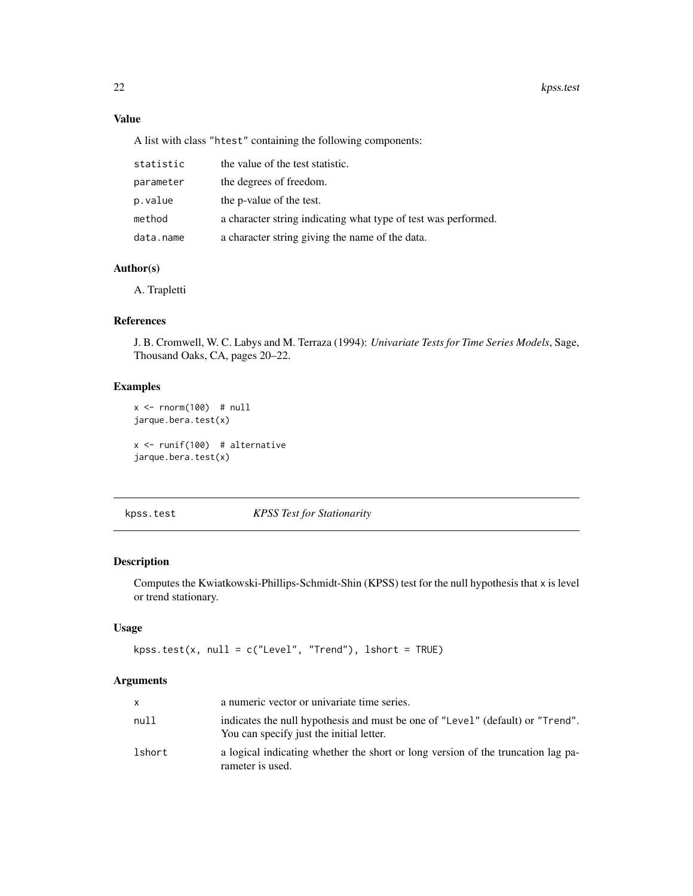#### Value

A list with class "htest" containing the following components:

| statistic | the value of the test statistic.                               |
|-----------|----------------------------------------------------------------|
| parameter | the degrees of freedom.                                        |
| p.value   | the p-value of the test.                                       |
| method    | a character string indicating what type of test was performed. |
| data.name | a character string giving the name of the data.                |

#### Author(s)

A. Trapletti

#### References

J. B. Cromwell, W. C. Labys and M. Terraza (1994): *Univariate Tests for Time Series Models*, Sage, Thousand Oaks, CA, pages 20–22.

#### Examples

```
x \le - rnorm(100) # null
jarque.bera.test(x)
x <- runif(100) # alternative
jarque.bera.test(x)
```
kpss.test *KPSS Test for Stationarity*

#### Description

Computes the Kwiatkowski-Phillips-Schmidt-Shin (KPSS) test for the null hypothesis that x is level or trend stationary.

#### Usage

```
kpss.test(x, null = c("Level", "Trend"), lshort = TRUE)
```
#### Arguments

| X      | a numeric vector or univariate time series.                                                                                |
|--------|----------------------------------------------------------------------------------------------------------------------------|
| null   | indicates the null hypothesis and must be one of "Level" (default) or "Trend".<br>You can specify just the initial letter. |
| lshort | a logical indicating whether the short or long version of the truncation lag pa-<br>rameter is used.                       |

<span id="page-21-0"></span>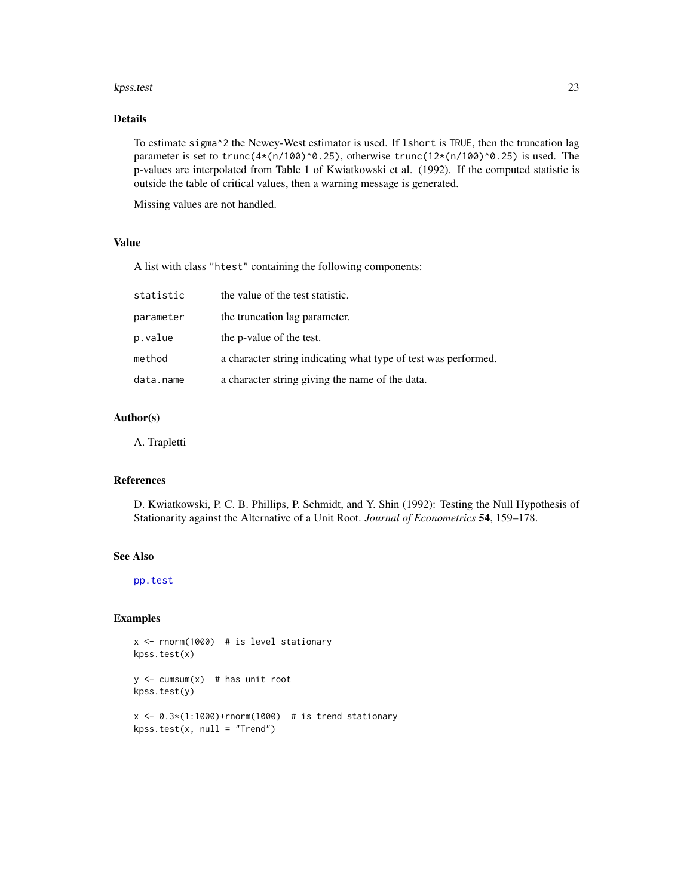#### <span id="page-22-0"></span>kpss.test 23

#### Details

To estimate sigma^2 the Newey-West estimator is used. If lshort is TRUE, then the truncation lag parameter is set to trunc(4\*(n/100)^0.25), otherwise trunc(12\*(n/100)^0.25) is used. The p-values are interpolated from Table 1 of Kwiatkowski et al. (1992). If the computed statistic is outside the table of critical values, then a warning message is generated.

Missing values are not handled.

#### Value

A list with class "htest" containing the following components:

| statistic | the value of the test statistic.                               |
|-----------|----------------------------------------------------------------|
| parameter | the truncation lag parameter.                                  |
| p.value   | the p-value of the test.                                       |
| method    | a character string indicating what type of test was performed. |
| data.name | a character string giving the name of the data.                |

#### Author(s)

A. Trapletti

#### References

D. Kwiatkowski, P. C. B. Phillips, P. Schmidt, and Y. Shin (1992): Testing the Null Hypothesis of Stationarity against the Alternative of a Unit Root. *Journal of Econometrics* 54, 159–178.

#### See Also

[pp.test](#page-31-1)

```
x \le rnorm(1000) # is level stationary
kpss.test(x)
y \leftarrow \text{cumsum}(x) # has unit root
kpss.test(y)
x \le -0.3*(1:1000) + \text{rnorm}(1000) # is trend stationary
kpss.test(x, null = "Trend")
```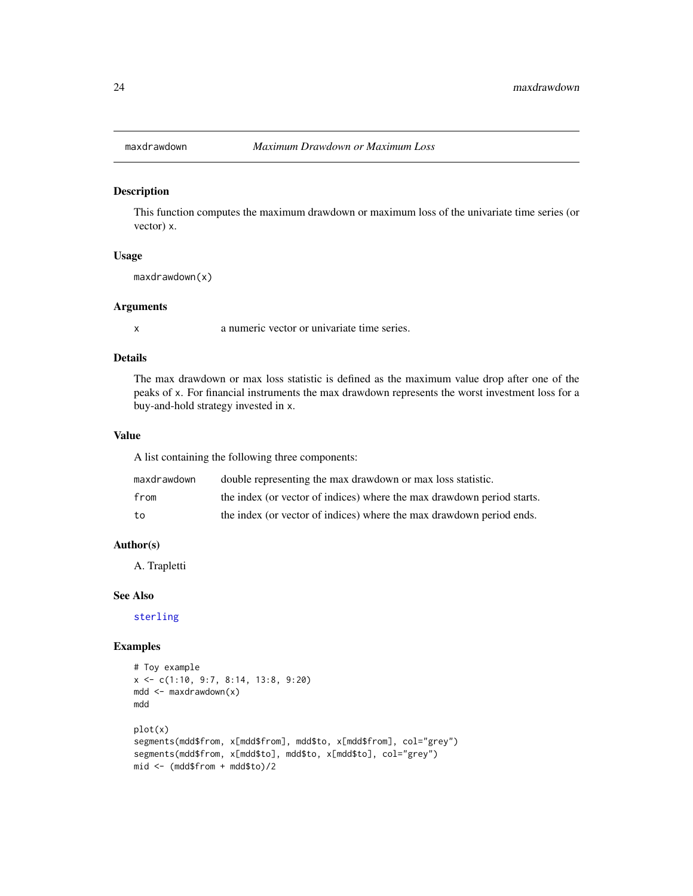<span id="page-23-1"></span><span id="page-23-0"></span>

This function computes the maximum drawdown or maximum loss of the univariate time series (or vector) x.

#### Usage

maxdrawdown(x)

#### Arguments

x a numeric vector or univariate time series.

#### Details

The max drawdown or max loss statistic is defined as the maximum value drop after one of the peaks of x. For financial instruments the max drawdown represents the worst investment loss for a buy-and-hold strategy invested in x.

#### Value

A list containing the following three components:

| maxdrawdown | double representing the max drawdown or max loss statistic.            |
|-------------|------------------------------------------------------------------------|
| from        | the index (or vector of indices) where the max drawdown period starts. |
| to          | the index (or vector of indices) where the max drawdown period ends.   |

#### Author(s)

A. Trapletti

#### See Also

[sterling](#page-38-1)

```
# Toy example
x <- c(1:10, 9:7, 8:14, 13:8, 9:20)
mdd <- maxdrawdown(x)
mdd
plot(x)
segments(mdd$from, x[mdd$from], mdd$to, x[mdd$from], col="grey")
segments(mdd$from, x[mdd$to], mdd$to, x[mdd$to], col="grey")
mid <- (mdd$from + mdd$to)/2
```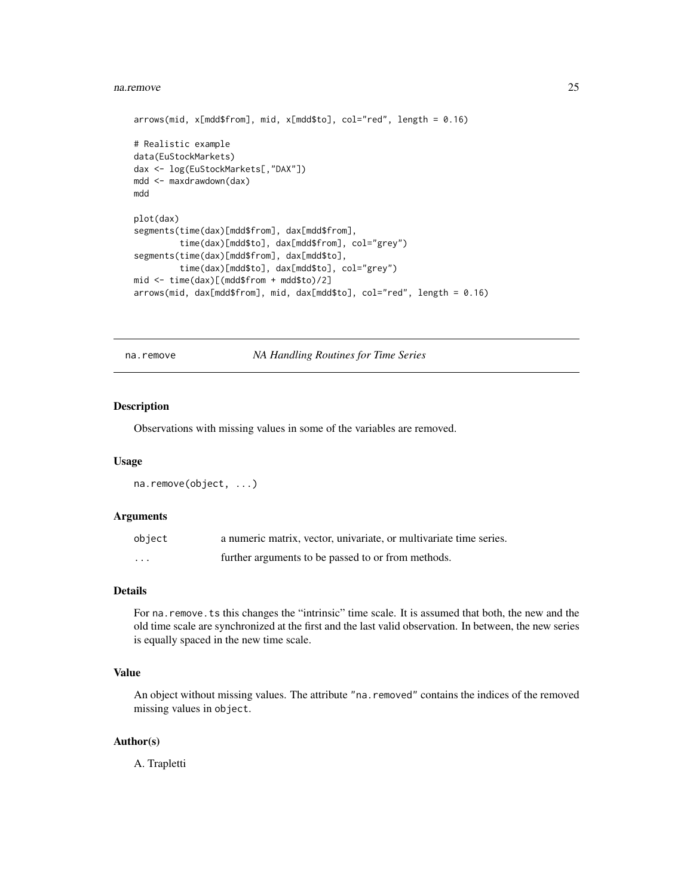#### <span id="page-24-0"></span>na.remove 25

```
arrows(mid, x[mdd$from], mid, x[mdd$to], col="red", length = 0.16)
# Realistic example
data(EuStockMarkets)
dax <- log(EuStockMarkets[,"DAX"])
mdd <- maxdrawdown(dax)
mdd
plot(dax)
segments(time(dax)[mdd$from], dax[mdd$from],
         time(dax)[mdd$to], dax[mdd$from], col="grey")
segments(time(dax)[mdd$from], dax[mdd$to],
         time(dax)[mdd$to], dax[mdd$to], col="grey")
mid <- time(dax)[(mdd$from + mdd$to)/2]
arrows(mid, dax[mdd$from], mid, dax[mdd$to], col="red", length = 0.16)
```
na.remove *NA Handling Routines for Time Series*

#### Description

Observations with missing values in some of the variables are removed.

#### Usage

```
na.remove(object, ...)
```
#### Arguments

| object            | a numeric matrix, vector, univariate, or multivariate time series. |
|-------------------|--------------------------------------------------------------------|
| $\cdot\cdot\cdot$ | further arguments to be passed to or from methods.                 |

#### Details

For na. remove. ts this changes the "intrinsic" time scale. It is assumed that both, the new and the old time scale are synchronized at the first and the last valid observation. In between, the new series is equally spaced in the new time scale.

#### Value

An object without missing values. The attribute "na.removed" contains the indices of the removed missing values in object.

#### Author(s)

A. Trapletti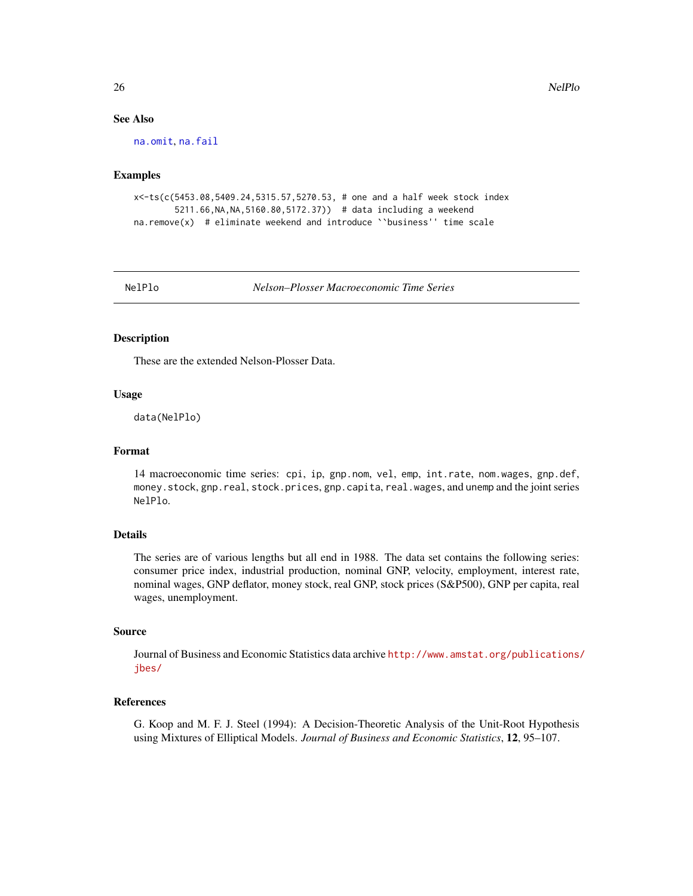#### See Also

[na.omit](#page-0-0), [na.fail](#page-0-0)

#### Examples

```
x<-ts(c(5453.08,5409.24,5315.57,5270.53, # one and a half week stock index
        5211.66,NA,NA,5160.80,5172.37)) # data including a weekend
na.remove(x) # eliminate weekend and introduce ``business'' time scale
```
NelPlo *Nelson–Plosser Macroeconomic Time Series*

#### Description

These are the extended Nelson-Plosser Data.

#### Usage

data(NelPlo)

#### Format

14 macroeconomic time series: cpi, ip, gnp.nom, vel, emp, int.rate, nom.wages, gnp.def, money.stock, gnp.real, stock.prices, gnp.capita, real.wages, and unemp and the joint series NelPlo.

#### Details

The series are of various lengths but all end in 1988. The data set contains the following series: consumer price index, industrial production, nominal GNP, velocity, employment, interest rate, nominal wages, GNP deflator, money stock, real GNP, stock prices (S&P500), GNP per capita, real wages, unemployment.

#### Source

Journal of Business and Economic Statistics data archive [http://www.amstat.org/publications/](http://www.amstat.org/publications/jbes/) [jbes/](http://www.amstat.org/publications/jbes/)

#### References

G. Koop and M. F. J. Steel (1994): A Decision-Theoretic Analysis of the Unit-Root Hypothesis using Mixtures of Elliptical Models. *Journal of Business and Economic Statistics*, 12, 95–107.

<span id="page-25-0"></span>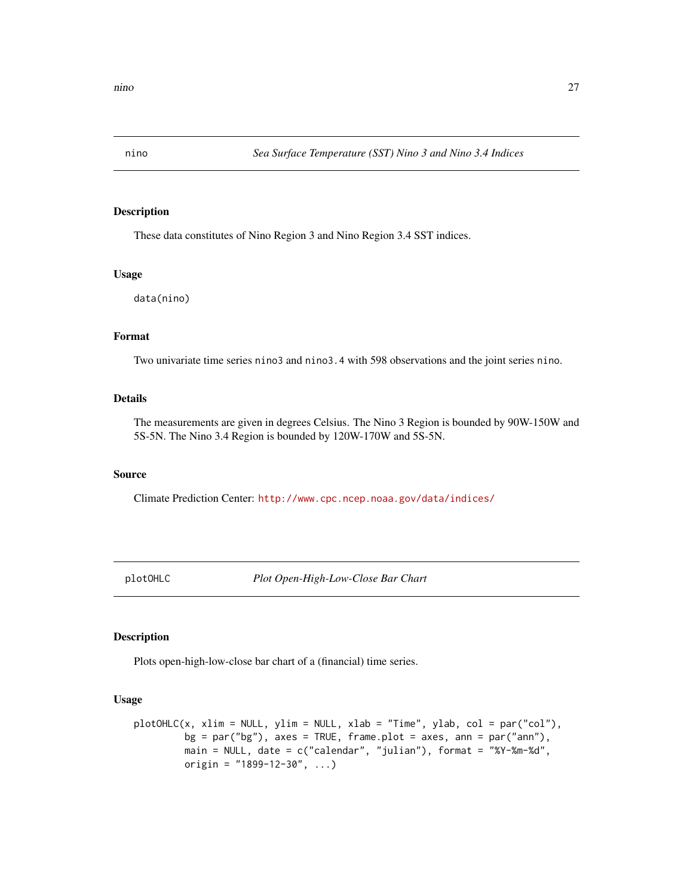<span id="page-26-0"></span>

These data constitutes of Nino Region 3 and Nino Region 3.4 SST indices.

#### Usage

data(nino)

#### Format

Two univariate time series nino3 and nino3.4 with 598 observations and the joint series nino.

#### Details

The measurements are given in degrees Celsius. The Nino 3 Region is bounded by 90W-150W and 5S-5N. The Nino 3.4 Region is bounded by 120W-170W and 5S-5N.

#### Source

Climate Prediction Center: <http://www.cpc.ncep.noaa.gov/data/indices/>

plotOHLC *Plot Open-High-Low-Close Bar Chart*

#### Description

Plots open-high-low-close bar chart of a (financial) time series.

#### Usage

```
plotOHLC(x, xlim = NULL, ylim = NULL, xlab = "Time", ylab, col = par("col"),
         bg = par("bg"), axes = TRUE, frame.plot = axes, ann = par("ann"),main = NULL, date = c("calendar", "julian"), format = "%Y-%m-%d",
        origin = "1899-12-30", ...)
```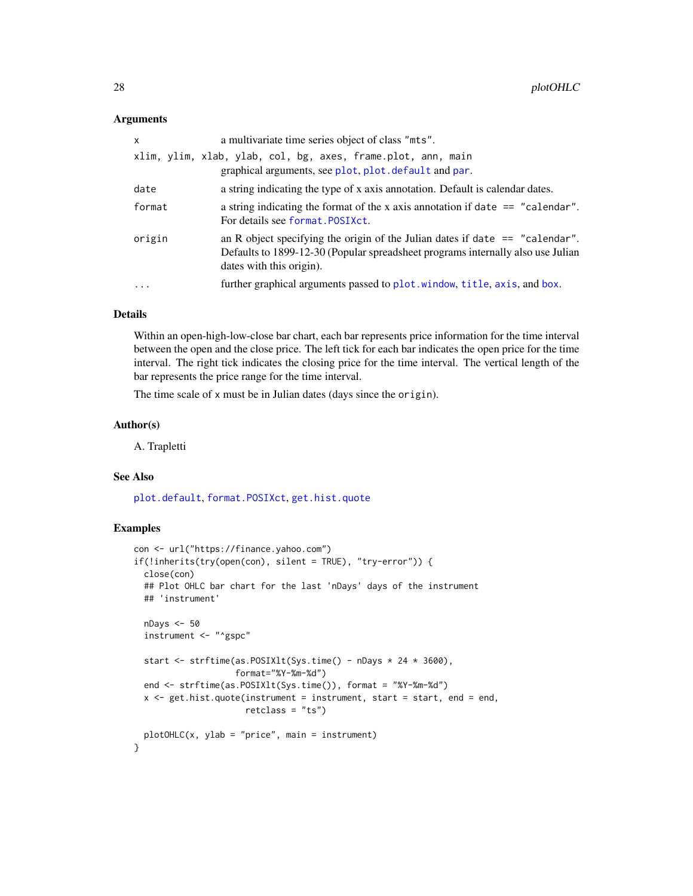#### <span id="page-27-0"></span>Arguments

| x        | a multivariate time series object of class "mts".                                                                                                                                             |
|----------|-----------------------------------------------------------------------------------------------------------------------------------------------------------------------------------------------|
|          | xlim, ylim, xlab, ylab, col, bg, axes, frame.plot, ann, main<br>graphical arguments, see plot, plot. default and par.                                                                         |
| date     | a string indicating the type of x axis annotation. Default is calendar dates.                                                                                                                 |
| format   | a string indicating the format of the x axis annotation if date $==$ "calendar".<br>For details see format. POSIXct.                                                                          |
| origin   | an R object specifying the origin of the Julian dates if date $==$ "calendar".<br>Defaults to 1899-12-30 (Popular spreadsheet programs internally also use Julian<br>dates with this origin). |
| $\cdots$ | further graphical arguments passed to plot window, title, axis, and box.                                                                                                                      |
|          |                                                                                                                                                                                               |

#### Details

Within an open-high-low-close bar chart, each bar represents price information for the time interval between the open and the close price. The left tick for each bar indicates the open price for the time interval. The right tick indicates the closing price for the time interval. The vertical length of the bar represents the price range for the time interval.

The time scale of x must be in Julian dates (days since the origin).

#### Author(s)

A. Trapletti

#### See Also

[plot.default](#page-0-0), [format.POSIXct](#page-0-0), [get.hist.quote](#page-12-1)

```
con <- url("https://finance.yahoo.com")
if(!inherits(try(open(con), silent = TRUE), "try-error")) {
 close(con)
 ## Plot OHLC bar chart for the last 'nDays' days of the instrument
 ## 'instrument'
 nDays <- 50
 instrument <- "^gspc"
 start <- strftime(as.POSIXlt(Sys.time() - nDays * 24 * 3600),
                    format="%Y-%m-%d")
 end <- strftime(as.POSIXlt(Sys.time()), format = "%Y-%m-%d")
 x \leq get.hist.quote(instrument = instrument, start = start, end = end,
                      retclass = "ts")
 plotOHLC(x, ylab = "price", main = instrument)}
```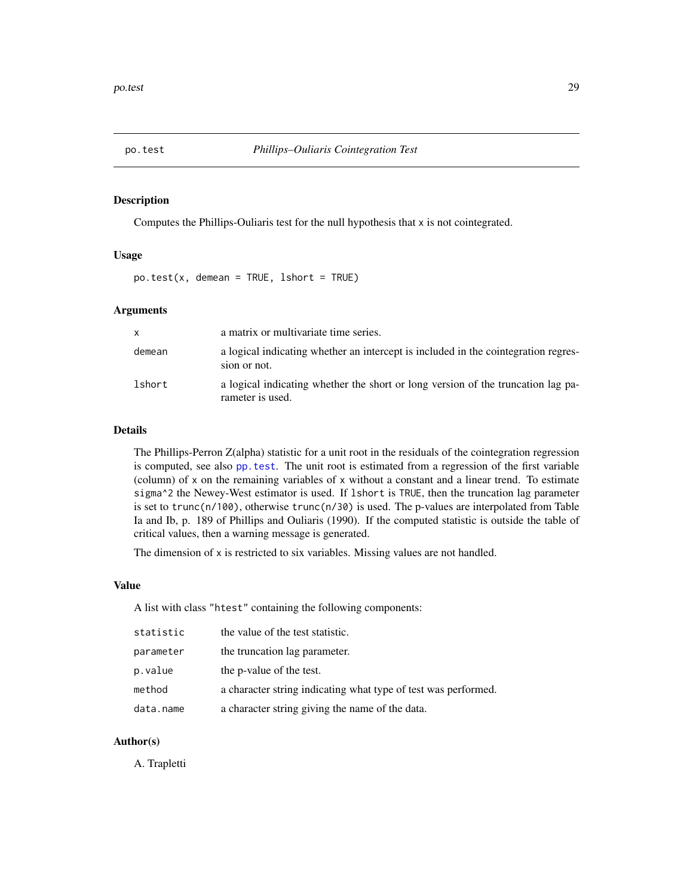<span id="page-28-0"></span>

Computes the Phillips-Ouliaris test for the null hypothesis that x is not cointegrated.

#### Usage

 $po.test(x, demean = TRUE, Ishort = TRUE)$ 

#### Arguments

| X      | a matrix or multivariate time series.                                                                |
|--------|------------------------------------------------------------------------------------------------------|
| demean | a logical indicating whether an intercept is included in the cointegration regres-<br>sion or not.   |
| lshort | a logical indicating whether the short or long version of the truncation lag pa-<br>rameter is used. |

#### Details

The Phillips-Perron Z(alpha) statistic for a unit root in the residuals of the cointegration regression is computed, see also [pp.test](#page-31-1). The unit root is estimated from a regression of the first variable (column) of x on the remaining variables of x without a constant and a linear trend. To estimate sigma^2 the Newey-West estimator is used. If lshort is TRUE, then the truncation lag parameter is set to trunc( $n/100$ ), otherwise trunc( $n/30$ ) is used. The p-values are interpolated from Table Ia and Ib, p. 189 of Phillips and Ouliaris (1990). If the computed statistic is outside the table of critical values, then a warning message is generated.

The dimension of x is restricted to six variables. Missing values are not handled.

#### Value

A list with class "htest" containing the following components:

| statistic | the value of the test statistic.                               |
|-----------|----------------------------------------------------------------|
| parameter | the truncation lag parameter.                                  |
| p.value   | the p-value of the test.                                       |
| method    | a character string indicating what type of test was performed. |
| data.name | a character string giving the name of the data.                |

#### Author(s)

A. Trapletti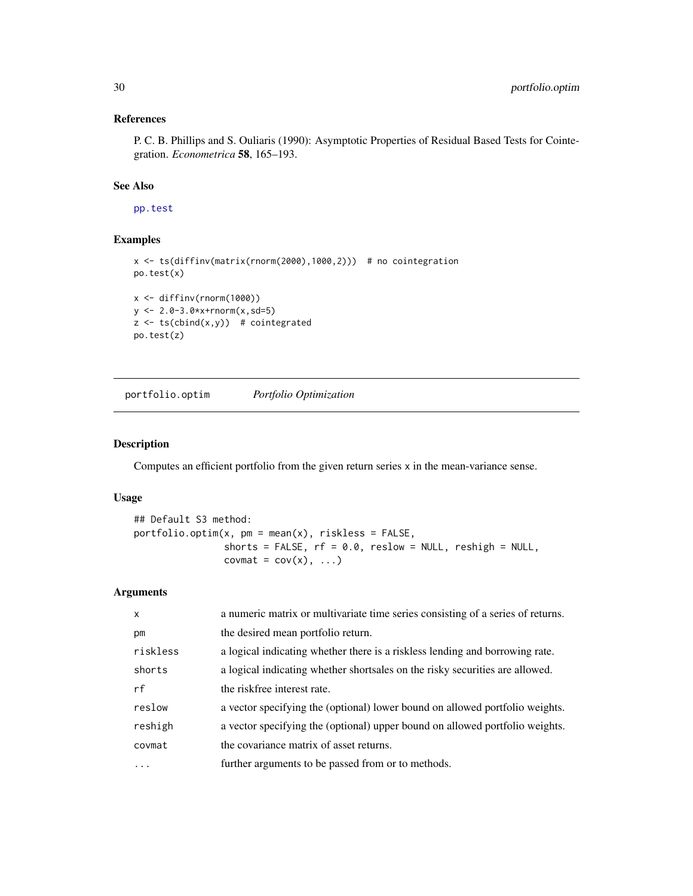#### <span id="page-29-0"></span>References

P. C. B. Phillips and S. Ouliaris (1990): Asymptotic Properties of Residual Based Tests for Cointegration. *Econometrica* 58, 165–193.

#### See Also

[pp.test](#page-31-1)

#### Examples

```
x <- ts(diffinv(matrix(rnorm(2000),1000,2))) # no cointegration
po.test(x)
x <- diffinv(rnorm(1000))
y <- 2.0-3.0*x+rnorm(x,sd=5)
z \leftarrow ts(cbind(x,y)) # cointegrated
po.test(z)
```
portfolio.optim *Portfolio Optimization*

#### Description

Computes an efficient portfolio from the given return series x in the mean-variance sense.

#### Usage

```
## Default S3 method:
portfolio.optim(x, pm = mean(x), riskless = FALSE,
               shorts = FALSE, rf = 0.0, reslow = NULL, reshigh = NULL,
               covmat = cov(x), ...
```
#### Arguments

| X        | a numeric matrix or multivariate time series consisting of a series of returns. |
|----------|---------------------------------------------------------------------------------|
| pm       | the desired mean portfolio return.                                              |
| riskless | a logical indicating whether there is a riskless lending and borrowing rate.    |
| shorts   | a logical indicating whether shortsales on the risky securities are allowed.    |
| rf       | the riskfree interest rate.                                                     |
| reslow   | a vector specifying the (optional) lower bound on allowed portfolio weights.    |
| reshigh  | a vector specifying the (optional) upper bound on allowed portfolio weights.    |
| covmat   | the covariance matrix of asset returns.                                         |
| $\cdots$ | further arguments to be passed from or to methods.                              |
|          |                                                                                 |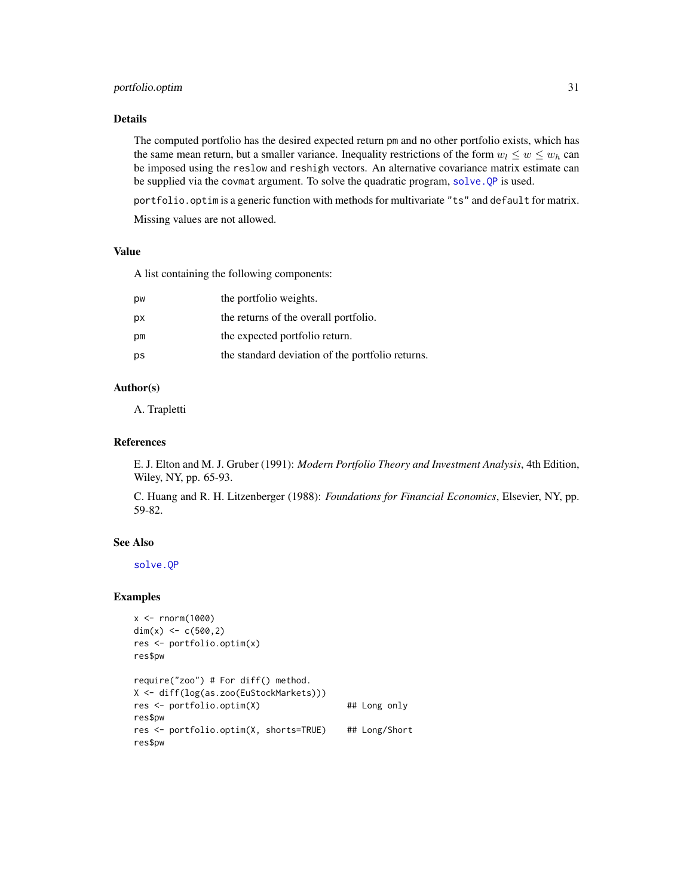#### <span id="page-30-0"></span>portfolio.optim 31

#### Details

The computed portfolio has the desired expected return pm and no other portfolio exists, which has the same mean return, but a smaller variance. Inequality restrictions of the form  $w_l \leq w \leq w_h$  can be imposed using the reslow and reshigh vectors. An alternative covariance matrix estimate can be supplied via the covmat argument. To solve the quadratic program, [solve.QP](#page-0-0) is used.

portfolio.optim is a generic function with methods for multivariate "ts" and default for matrix. Missing values are not allowed.

#### Value

A list containing the following components:

| pw | the portfolio weights.                           |
|----|--------------------------------------------------|
| рx | the returns of the overall portfolio.            |
| pm | the expected portfolio return.                   |
| ps | the standard deviation of the portfolio returns. |

#### Author(s)

A. Trapletti

#### References

E. J. Elton and M. J. Gruber (1991): *Modern Portfolio Theory and Investment Analysis*, 4th Edition, Wiley, NY, pp. 65-93.

C. Huang and R. H. Litzenberger (1988): *Foundations for Financial Economics*, Elsevier, NY, pp. 59-82.

#### See Also

[solve.QP](#page-0-0)

```
x < - rnorm(1000)
dim(x) <-c(500, 2)res <- portfolio.optim(x)
res$pw
require("zoo") # For diff() method.
```

```
X <- diff(log(as.zoo(EuStockMarkets)))
res <- portfolio.optim(X) ## Long only
res$pw
res <- portfolio.optim(X, shorts=TRUE) ## Long/Short
res$pw
```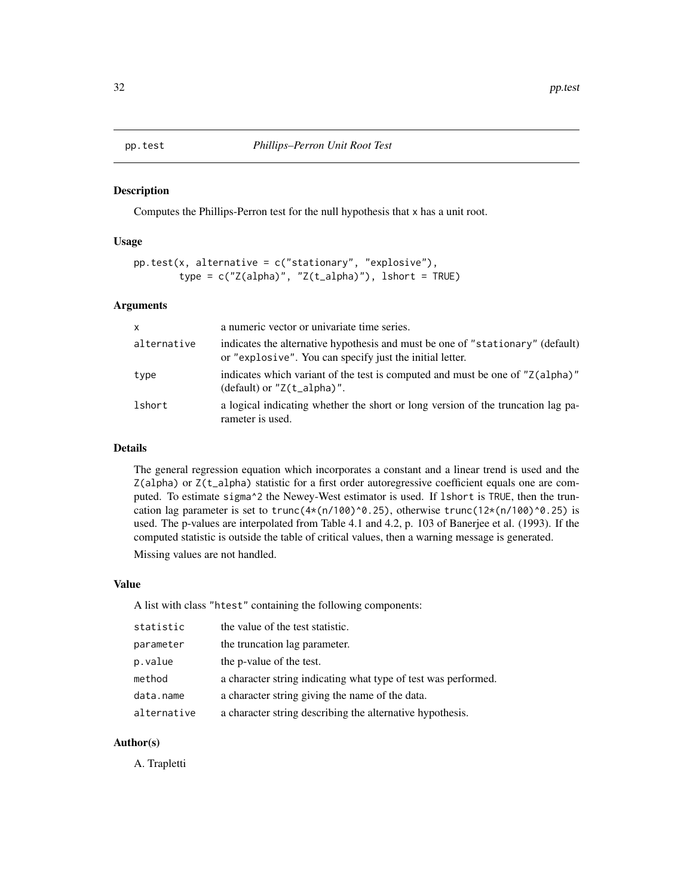<span id="page-31-1"></span><span id="page-31-0"></span>Computes the Phillips-Perron test for the null hypothesis that x has a unit root.

#### Usage

```
pp.test(x, alternative = c("stationary", "explosive"),type = c("Z(alpha)^", "Z(t_alpha)^")), lshort = TRUE)
```
#### Arguments

| X           | a numeric vector or univariate time series.                                                                                                |
|-------------|--------------------------------------------------------------------------------------------------------------------------------------------|
| alternative | indicates the alternative hypothesis and must be one of "stationary" (default)<br>or "explosive". You can specify just the initial letter. |
| type        | indicates which variant of the test is computed and must be one of "Z(alpha)"<br>(default) or $"Z(t_\text{alpha})"$ .                      |
| lshort      | a logical indicating whether the short or long version of the truncation lag pa-<br>rameter is used.                                       |

#### Details

The general regression equation which incorporates a constant and a linear trend is used and the Z(alpha) or Z(t\_alpha) statistic for a first order autoregressive coefficient equals one are computed. To estimate sigma^2 the Newey-West estimator is used. If lshort is TRUE, then the truncation lag parameter is set to trunc( $4*(n/100)^0$ .25), otherwise trunc( $12*(n/100)^0$ .25) is used. The p-values are interpolated from Table 4.1 and 4.2, p. 103 of Banerjee et al. (1993). If the computed statistic is outside the table of critical values, then a warning message is generated.

Missing values are not handled.

#### Value

A list with class "htest" containing the following components:

| statistic   | the value of the test statistic.                               |
|-------------|----------------------------------------------------------------|
| parameter   | the truncation lag parameter.                                  |
| p.value     | the p-value of the test.                                       |
| method      | a character string indicating what type of test was performed. |
| data.name   | a character string giving the name of the data.                |
| alternative | a character string describing the alternative hypothesis.      |

#### Author(s)

A. Trapletti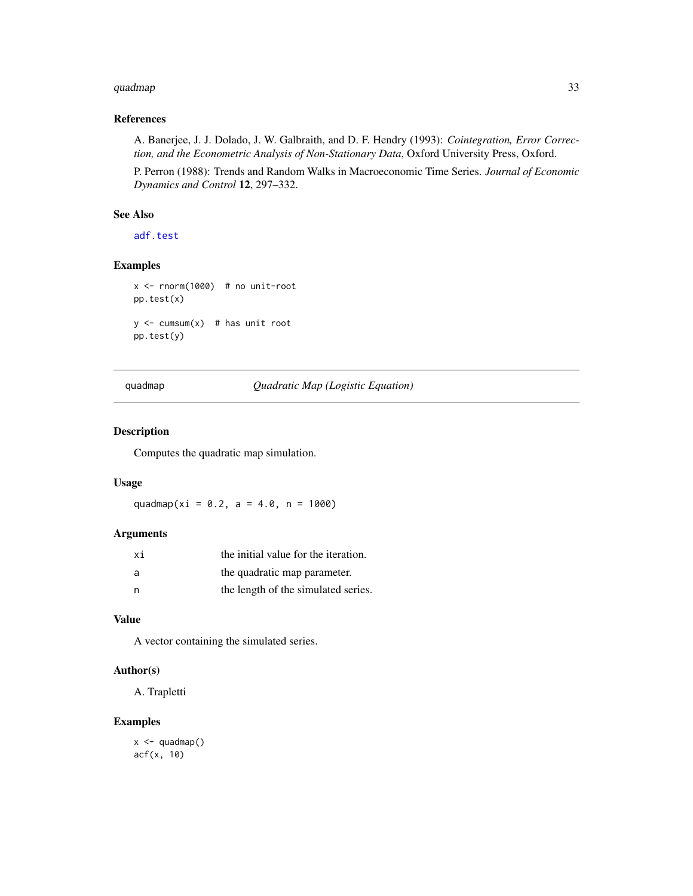#### <span id="page-32-0"></span>quadmap 33

#### References

A. Banerjee, J. J. Dolado, J. W. Galbraith, and D. F. Hendry (1993): *Cointegration, Error Correction, and the Econometric Analysis of Non-Stationary Data*, Oxford University Press, Oxford.

P. Perron (1988): Trends and Random Walks in Macroeconomic Time Series. *Journal of Economic Dynamics and Control* 12, 297–332.

#### See Also

[adf.test](#page-1-1)

#### Examples

 $x \leftarrow \text{rnorm}(1000)$  # no unit-root pp.test(x)

```
y \leftarrow \text{cumsum}(x) # has unit root
pp.test(y)
```
quadmap *Quadratic Map (Logistic Equation)*

#### Description

Computes the quadratic map simulation.

#### Usage

quadmap(xi =  $0.2$ , a =  $4.0$ , n = 1000)

#### Arguments

| хi | the initial value for the iteration. |
|----|--------------------------------------|
| a  | the quadratic map parameter.         |
| n  | the length of the simulated series.  |

#### Value

A vector containing the simulated series.

#### Author(s)

A. Trapletti

#### Examples

 $x \leftarrow$  quadmap() acf(x, 10)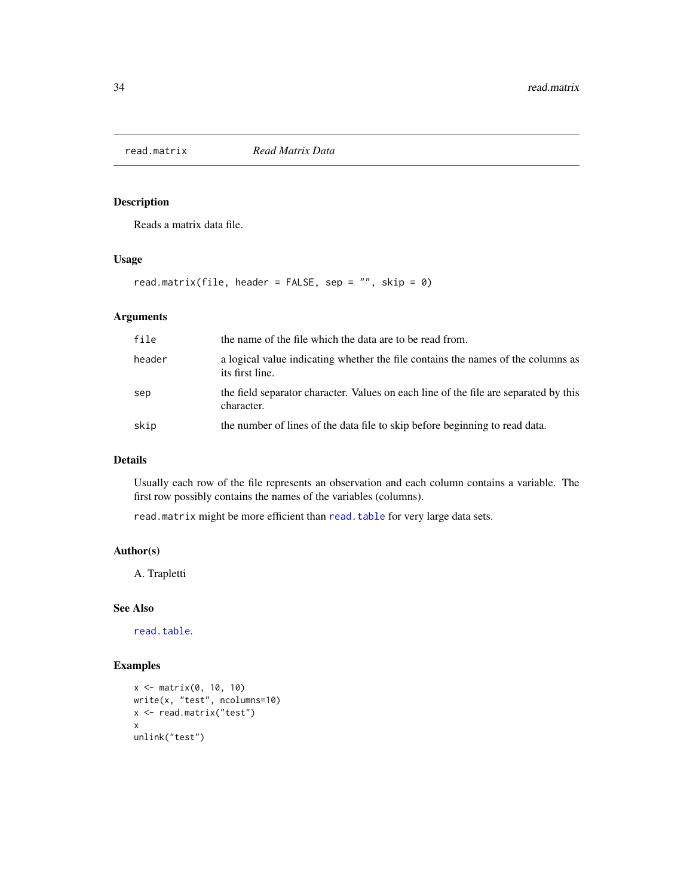<span id="page-33-0"></span>

Reads a matrix data file.

#### Usage

read.matrix(file, header = FALSE, sep = "", skip = 0)

#### Arguments

| file   | the name of the file which the data are to be read from.                                            |
|--------|-----------------------------------------------------------------------------------------------------|
| header | a logical value indicating whether the file contains the names of the columns as<br>its first line. |
| sep    | the field separator character. Values on each line of the file are separated by this<br>character.  |
| skip   | the number of lines of the data file to skip before beginning to read data.                         |

#### Details

Usually each row of the file represents an observation and each column contains a variable. The first row possibly contains the names of the variables (columns).

read.matrix might be more efficient than [read.table](#page-0-0) for very large data sets.

#### Author(s)

A. Trapletti

#### See Also

[read.table](#page-0-0).

```
x <- matrix(0, 10, 10)
write(x, "test", ncolumns=10)
x <- read.matrix("test")
x
unlink("test")
```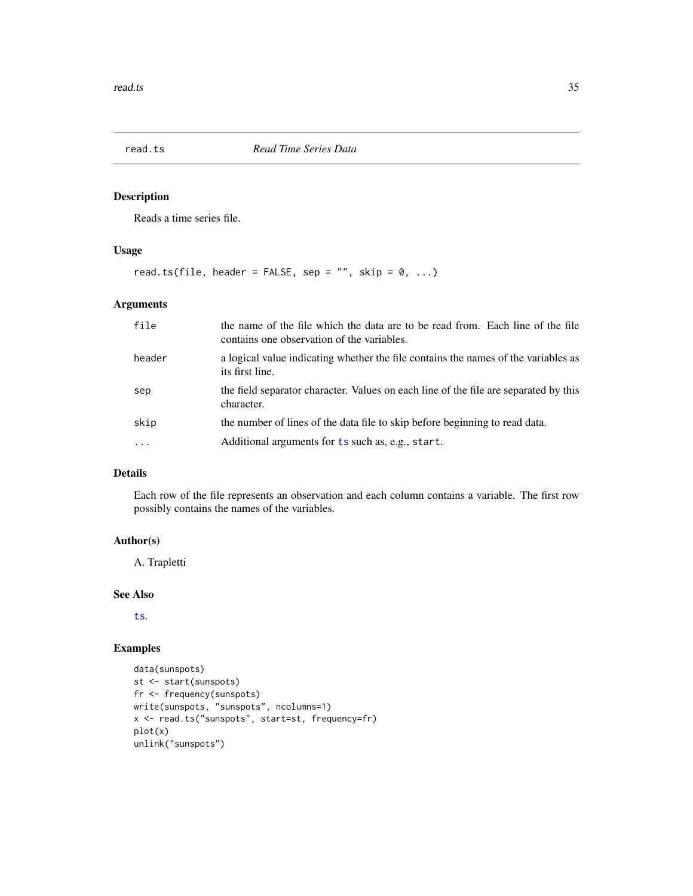<span id="page-34-0"></span>

Reads a time series file.

#### Usage

read.ts(file, header = FALSE, sep =  $"$ , skip =  $\emptyset$ , ...)

#### Arguments

| file                    | the name of the file which the data are to be read from. Each line of the file<br>contains one observation of the variables. |
|-------------------------|------------------------------------------------------------------------------------------------------------------------------|
| header                  | a logical value indicating whether the file contains the names of the variables as<br>its first line.                        |
| sep                     | the field separator character. Values on each line of the file are separated by this<br>character.                           |
| skip                    | the number of lines of the data file to skip before beginning to read data.                                                  |
| $\cdot$ $\cdot$ $\cdot$ | Additional arguments for ts such as, e.g., start.                                                                            |

### Details

Each row of the file represents an observation and each column contains a variable. The first row possibly contains the names of the variables.

#### Author(s)

A. Trapletti

#### See Also

[ts](#page-0-0).

```
data(sunspots)
st <- start(sunspots)
fr <- frequency(sunspots)
write(sunspots, "sunspots", ncolumns=1)
x <- read.ts("sunspots", start=st, frequency=fr)
plot(x)
unlink("sunspots")
```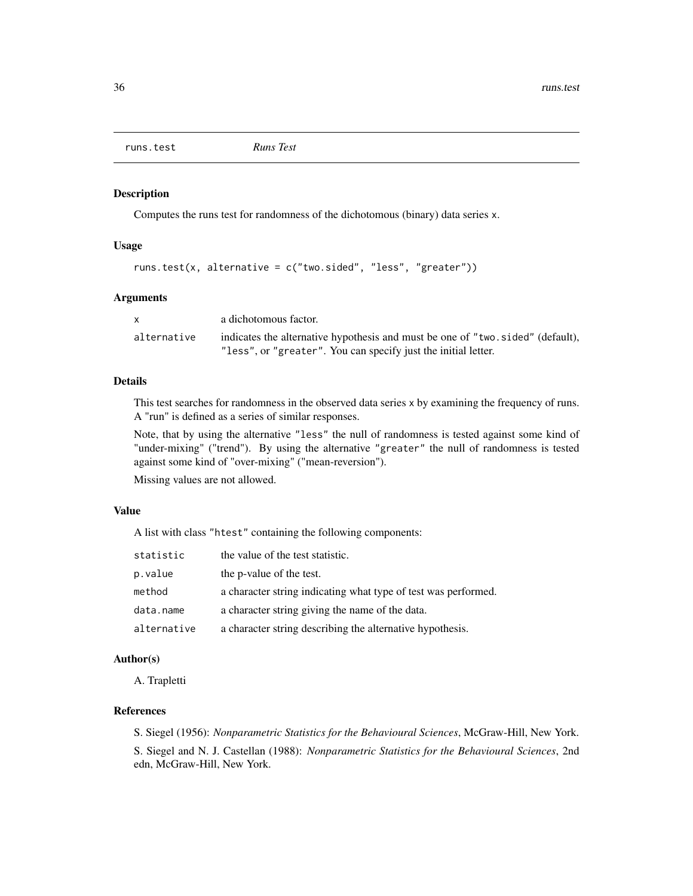<span id="page-35-0"></span>runs.test *Runs Test*

#### Description

Computes the runs test for randomness of the dichotomous (binary) data series x.

#### Usage

```
runs.test(x, alternative = c("two.sided", "less", "greater"))
```
#### Arguments

|             | a dichotomous factor.                                                          |
|-------------|--------------------------------------------------------------------------------|
| alternative | indicates the alternative hypothesis and must be one of "two.sided" (default), |
|             | "less", or "greater". You can specify just the initial letter.                 |

#### Details

This test searches for randomness in the observed data series x by examining the frequency of runs. A "run" is defined as a series of similar responses.

Note, that by using the alternative "less" the null of randomness is tested against some kind of "under-mixing" ("trend"). By using the alternative "greater" the null of randomness is tested against some kind of "over-mixing" ("mean-reversion").

Missing values are not allowed.

#### Value

A list with class "htest" containing the following components:

| statistic   | the value of the test statistic.                               |
|-------------|----------------------------------------------------------------|
| p.value     | the p-value of the test.                                       |
| method      | a character string indicating what type of test was performed. |
| data.name   | a character string giving the name of the data.                |
| alternative | a character string describing the alternative hypothesis.      |

#### Author(s)

A. Trapletti

#### References

S. Siegel (1956): *Nonparametric Statistics for the Behavioural Sciences*, McGraw-Hill, New York. S. Siegel and N. J. Castellan (1988): *Nonparametric Statistics for the Behavioural Sciences*, 2nd edn, McGraw-Hill, New York.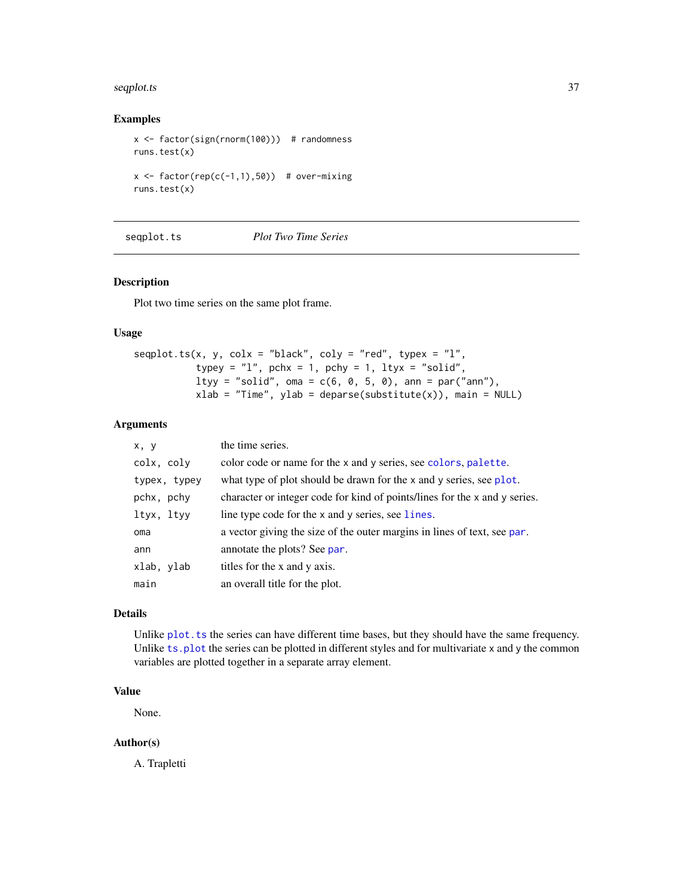#### <span id="page-36-0"></span>seqplot.ts 37

#### Examples

```
x <- factor(sign(rnorm(100))) # randomness
runs.test(x)
x \leftarrow factor(rep(c(-1,1),50)) # over-mixing
runs.test(x)
```
seqplot.ts *Plot Two Time Series*

#### Description

Plot two time series on the same plot frame.

#### Usage

```
seqplot.ts(x, y, colx = "black", coly = "red", typex = "l",
           typey = "1", pchx = 1, pchy = 1, ltyx = "solid",
          ltyy = "solid", oma = c(6, 0, 5, 0), ann = par("ann"),
          xlab = "Time", ylab = deparse(substitute(x)), main = NULL)
```
#### Arguments

| x, y         | the time series.                                                           |
|--------------|----------------------------------------------------------------------------|
| colx, coly   | color code or name for the x and y series, see colors, palette.            |
| typex, typey | what type of plot should be drawn for the x and y series, see plot.        |
| pchx, pchy   | character or integer code for kind of points/lines for the x and y series. |
| ltyx, ltyy   | line type code for the x and y series, see lines.                          |
| oma          | a vector giving the size of the outer margins in lines of text, see par.   |
| ann          | annotate the plots? See par.                                               |
| xlab, ylab   | titles for the x and y axis.                                               |
| main         | an overall title for the plot.                                             |

#### Details

Unlike plot. ts the series can have different time bases, but they should have the same frequency. Unlike ts. plot the series can be plotted in different styles and for multivariate x and y the common variables are plotted together in a separate array element.

### Value

None.

#### Author(s)

A. Trapletti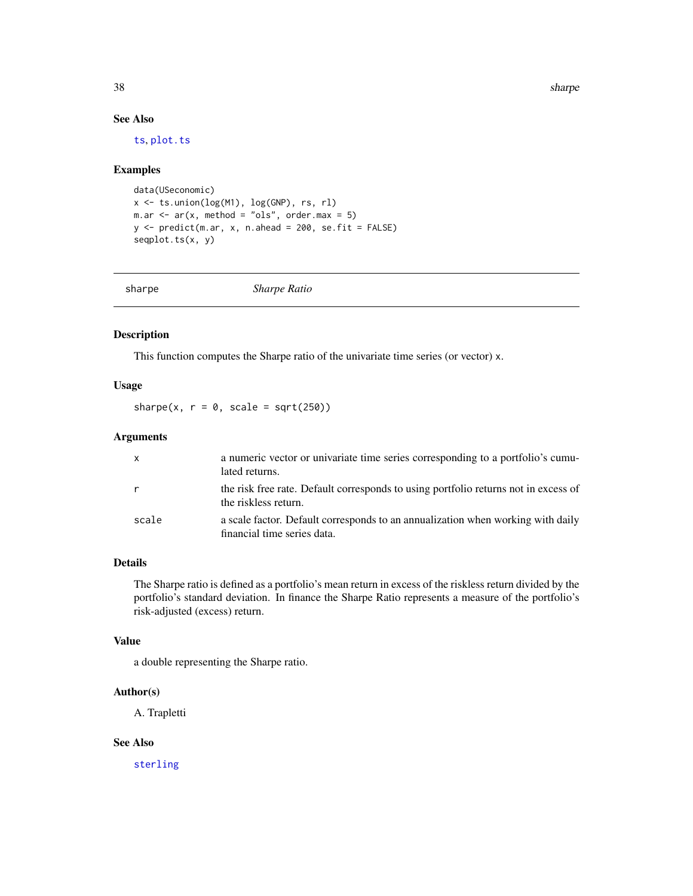38 sharped to the contract of the contract of the contract of the contract of the contract of the contract of the contract of the contract of the contract of the contract of the contract of the contract of the contract of

#### See Also

[ts](#page-0-0), [plot.ts](#page-0-0)

#### Examples

```
data(USeconomic)
x <- ts.union(log(M1), log(GNP), rs, rl)
m.ar \leftarrow ar(x, method = "ols", order.max = 5)y \le predict(m.ar, x, n.ahead = 200, se.fit = FALSE)
seqplot.ts(x, y)
```
<span id="page-37-1"></span>sharpe *Sharpe Ratio*

#### Description

This function computes the Sharpe ratio of the univariate time series (or vector) x.

#### Usage

sharpe(x,  $r = 0$ , scale = sqrt(250))

#### Arguments

| $\mathsf{x}$ | a numeric vector or univariate time series corresponding to a portfolio's cumu-<br>lated returns.              |
|--------------|----------------------------------------------------------------------------------------------------------------|
|              | the risk free rate. Default corresponds to using portfolio returns not in excess of<br>the riskless return.    |
| scale        | a scale factor. Default corresponds to an annualization when working with daily<br>financial time series data. |

#### Details

The Sharpe ratio is defined as a portfolio's mean return in excess of the riskless return divided by the portfolio's standard deviation. In finance the Sharpe Ratio represents a measure of the portfolio's risk-adjusted (excess) return.

#### Value

a double representing the Sharpe ratio.

#### Author(s)

A. Trapletti

#### See Also

[sterling](#page-38-1)

<span id="page-37-0"></span>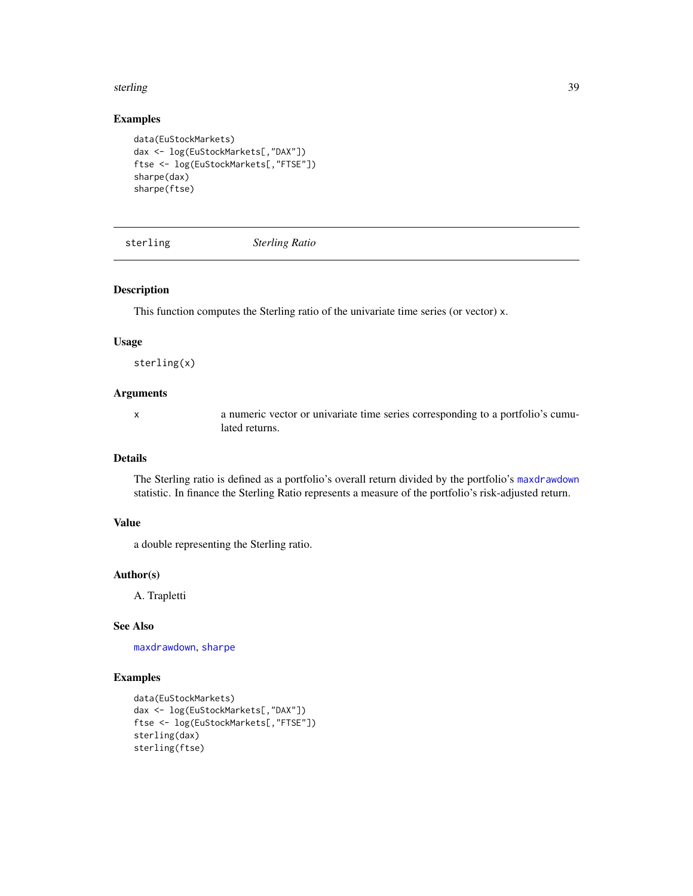#### <span id="page-38-0"></span>sterling 39

#### Examples

```
data(EuStockMarkets)
dax <- log(EuStockMarkets[,"DAX"])
ftse <- log(EuStockMarkets[,"FTSE"])
sharpe(dax)
sharpe(ftse)
```
<span id="page-38-1"></span>sterling *Sterling Ratio*

#### Description

This function computes the Sterling ratio of the univariate time series (or vector) x.

#### Usage

sterling(x)

#### Arguments

x a numeric vector or univariate time series corresponding to a portfolio's cumulated returns.

#### Details

The Sterling ratio is defined as a portfolio's overall return divided by the portfolio's [maxdrawdown](#page-23-1) statistic. In finance the Sterling Ratio represents a measure of the portfolio's risk-adjusted return.

#### Value

a double representing the Sterling ratio.

#### Author(s)

A. Trapletti

#### See Also

[maxdrawdown](#page-23-1), [sharpe](#page-37-1)

```
data(EuStockMarkets)
dax <- log(EuStockMarkets[,"DAX"])
ftse <- log(EuStockMarkets[,"FTSE"])
sterling(dax)
sterling(ftse)
```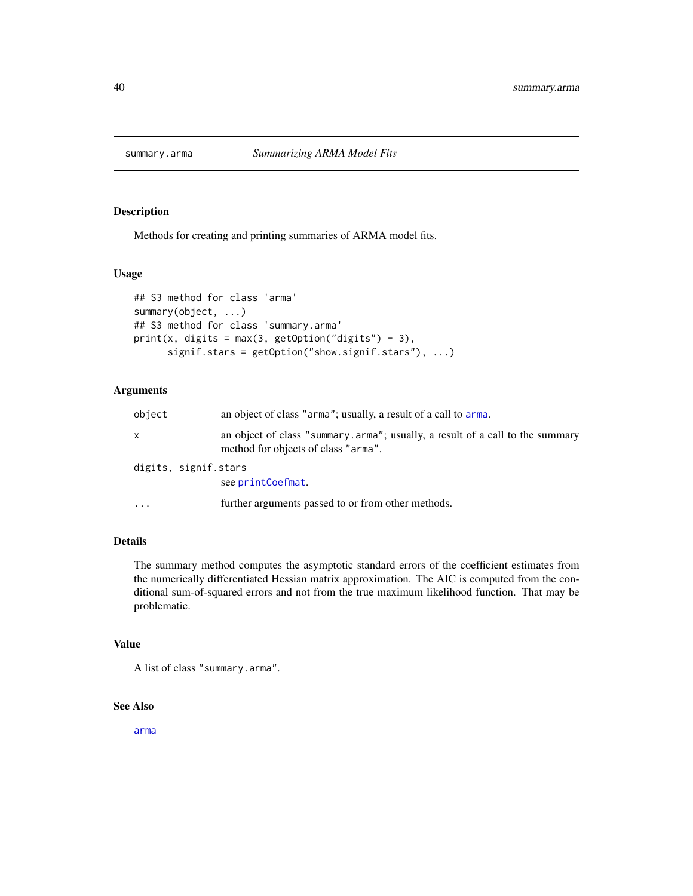<span id="page-39-1"></span><span id="page-39-0"></span>

Methods for creating and printing summaries of ARMA model fits.

#### Usage

```
## S3 method for class 'arma'
summary(object, ...)
## S3 method for class 'summary.arma'
print(x, digits = max(3, getOption("digits") - 3),signif.stars = getOption("show.signif.stars"), ...)
```
#### Arguments

| object               | an object of class "arma"; usually, a result of a call to arma.                                                      |
|----------------------|----------------------------------------------------------------------------------------------------------------------|
| x                    | an object of class "summary arma"; usually, a result of a call to the summary<br>method for objects of class "arma". |
| digits, signif.stars |                                                                                                                      |
|                      | see printCoefmat.                                                                                                    |
| $\cdot\cdot\cdot$    | further arguments passed to or from other methods.                                                                   |

#### Details

The summary method computes the asymptotic standard errors of the coefficient estimates from the numerically differentiated Hessian matrix approximation. The AIC is computed from the conditional sum-of-squared errors and not from the true maximum likelihood function. That may be problematic.

#### Value

```
A list of class "summary.arma".
```
#### See Also

[arma](#page-3-1)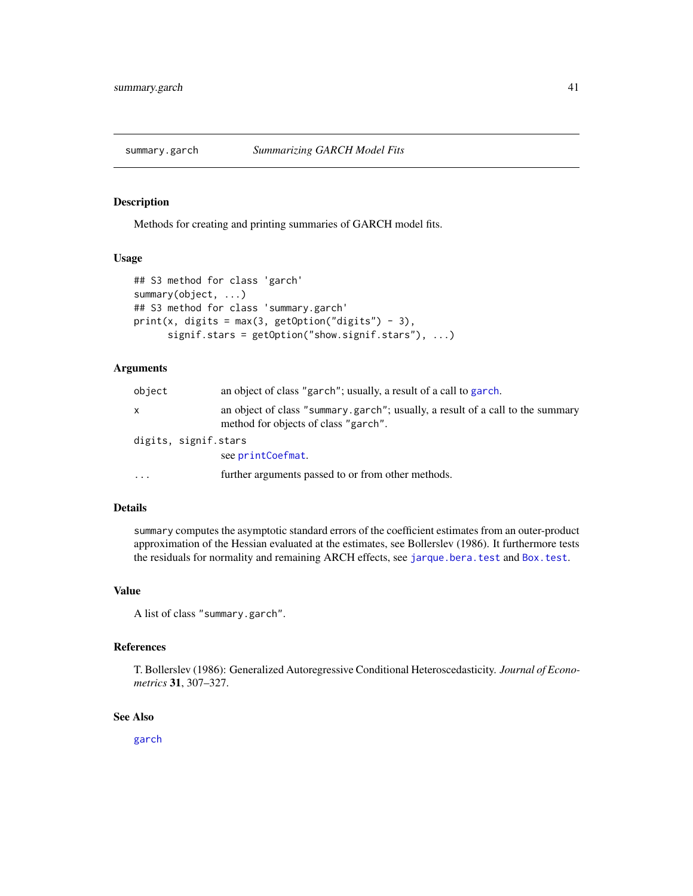<span id="page-40-1"></span><span id="page-40-0"></span>

Methods for creating and printing summaries of GARCH model fits.

#### Usage

```
## S3 method for class 'garch'
summary(object, ...)
## S3 method for class 'summary.garch'
print(x, \text{ digits} = max(3, \text{ getOption("digits")} - 3),signif.stars = getOption("show.signif.stars"), ...)
```
#### Arguments

| object               | an object of class "garch"; usually, a result of a call to garch.                                                      |
|----------------------|------------------------------------------------------------------------------------------------------------------------|
| x                    | an object of class "summary garch"; usually, a result of a call to the summary<br>method for objects of class "garch". |
| digits, signif.stars |                                                                                                                        |
|                      | see printCoefmat.                                                                                                      |
| $\ddotsc$            | further arguments passed to or from other methods.                                                                     |

#### Details

summary computes the asymptotic standard errors of the coefficient estimates from an outer-product approximation of the Hessian evaluated at the estimates, see Bollerslev (1986). It furthermore tests the residuals for normality and remaining ARCH effects, see [jarque.bera.test](#page-20-1) and [Box.test](#page-0-0).

#### Value

A list of class "summary.garch".

#### References

T. Bollerslev (1986): Generalized Autoregressive Conditional Heteroscedasticity. *Journal of Econometrics* 31, 307–327.

#### See Also

[garch](#page-8-1)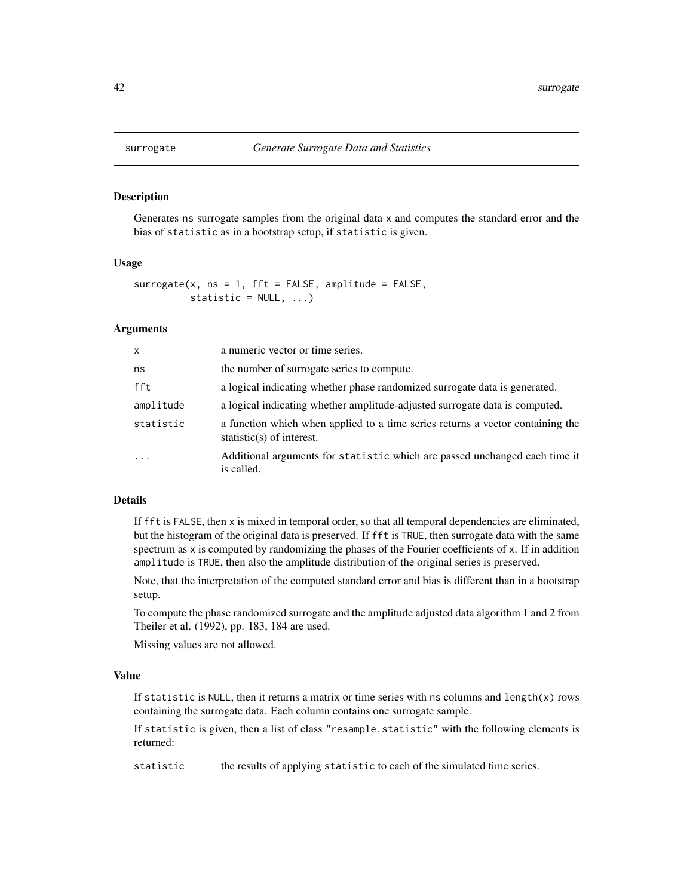<span id="page-41-1"></span><span id="page-41-0"></span>

Generates ns surrogate samples from the original data x and computes the standard error and the bias of statistic as in a bootstrap setup, if statistic is given.

#### Usage

```
surrogate(x, ns = 1, fft = FALSE, amplitude = FALSE,
         statistic = NULL, ...)
```
#### Arguments

| X         | a numeric vector or time series.                                                                                |
|-----------|-----------------------------------------------------------------------------------------------------------------|
| ns        | the number of surrogate series to compute.                                                                      |
| fft       | a logical indicating whether phase randomized surrogate data is generated.                                      |
| amplitude | a logical indicating whether amplitude-adjusted surrogate data is computed.                                     |
| statistic | a function which when applied to a time series returns a vector containing the<br>statistic( $s$ ) of interest. |
| $\cdots$  | Additional arguments for statistic which are passed unchanged each time it<br>is called.                        |

#### Details

If fft is FALSE, then x is mixed in temporal order, so that all temporal dependencies are eliminated, but the histogram of the original data is preserved. If fft is TRUE, then surrogate data with the same spectrum as x is computed by randomizing the phases of the Fourier coefficients of x. If in addition amplitude is TRUE, then also the amplitude distribution of the original series is preserved.

Note, that the interpretation of the computed standard error and bias is different than in a bootstrap setup.

To compute the phase randomized surrogate and the amplitude adjusted data algorithm 1 and 2 from Theiler et al. (1992), pp. 183, 184 are used.

Missing values are not allowed.

#### Value

If statistic is NULL, then it returns a matrix or time series with ns columns and length $(x)$  rows containing the surrogate data. Each column contains one surrogate sample.

If statistic is given, then a list of class "resample.statistic" with the following elements is returned:

statistic the results of applying statistic to each of the simulated time series.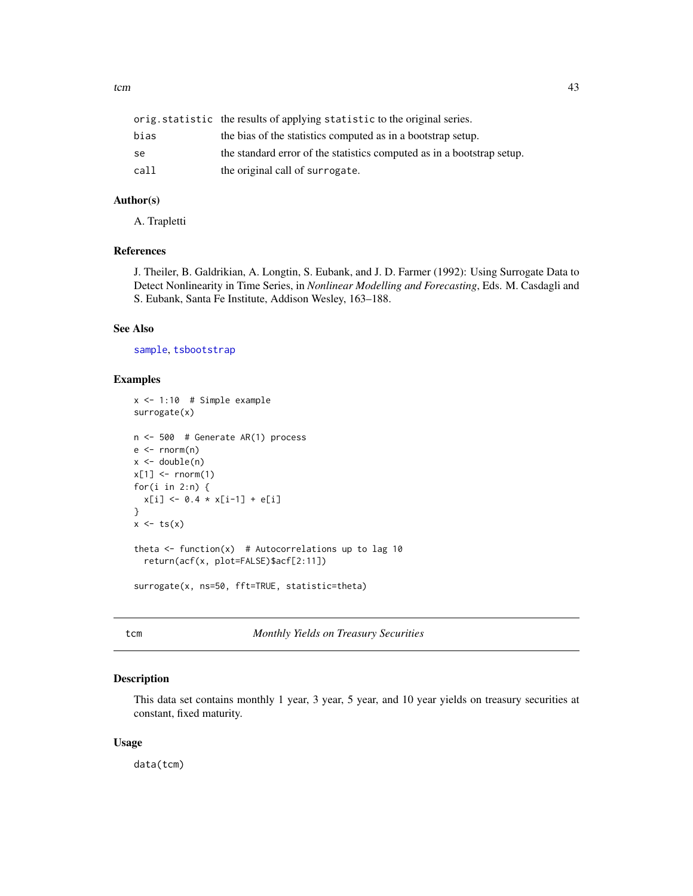<span id="page-42-0"></span>

|      | orig. statistic the results of applying statistic to the original series. |
|------|---------------------------------------------------------------------------|
| bias | the bias of the statistics computed as in a bootstrap setup.              |
| se   | the standard error of the statistics computed as in a bootstrap setup.    |
| call | the original call of surrogate.                                           |

#### Author(s)

A. Trapletti

#### References

J. Theiler, B. Galdrikian, A. Longtin, S. Eubank, and J. D. Farmer (1992): Using Surrogate Data to Detect Nonlinearity in Time Series, in *Nonlinear Modelling and Forecasting*, Eds. M. Casdagli and S. Eubank, Santa Fe Institute, Addison Wesley, 163–188.

#### See Also

[sample](#page-0-0), [tsbootstrap](#page-45-1)

#### Examples

```
x \le -1:10 # Simple example
surrogate(x)
n <- 500 # Generate AR(1) process
e <- rnorm(n)
x \leftarrow double(n)x[1] <- rnorm(1)for(i in 2:n) {
  x[i] <- 0.4 * x[i-1] + e[i]}
x \leftarrow ts(x)theta \leq function(x) # Autocorrelations up to lag 10
  return(acf(x, plot=FALSE)$acf[2:11])
surrogate(x, ns=50, fft=TRUE, statistic=theta)
```
tcm *Monthly Yields on Treasury Securities*

#### Description

This data set contains monthly 1 year, 3 year, 5 year, and 10 year yields on treasury securities at constant, fixed maturity.

#### Usage

data(tcm)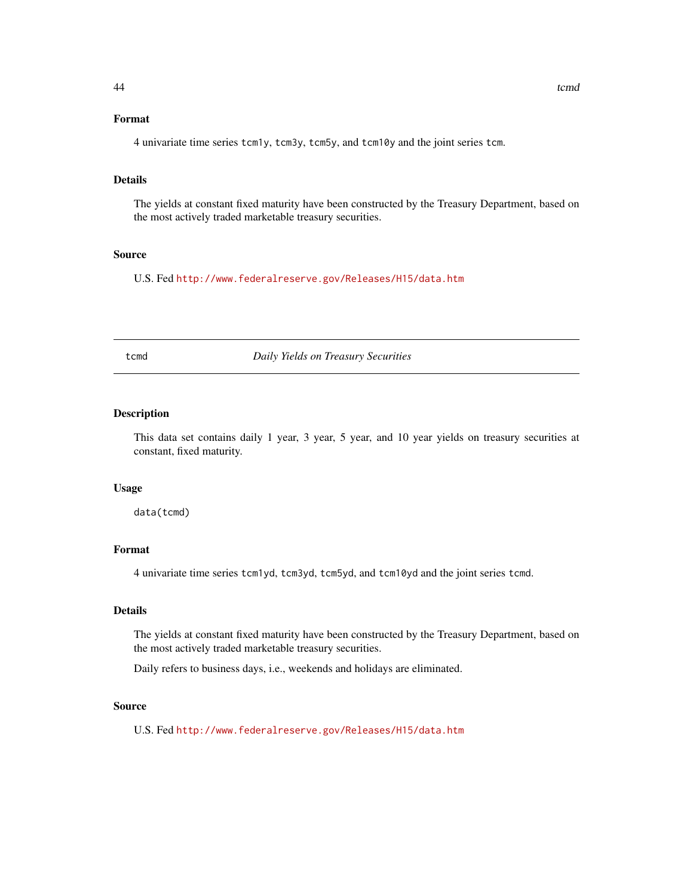#### <span id="page-43-0"></span>Format

4 univariate time series tcm1y, tcm3y, tcm5y, and tcm10y and the joint series tcm.

#### Details

The yields at constant fixed maturity have been constructed by the Treasury Department, based on the most actively traded marketable treasury securities.

#### Source

U.S. Fed <http://www.federalreserve.gov/Releases/H15/data.htm>

tcmd *Daily Yields on Treasury Securities*

#### Description

This data set contains daily 1 year, 3 year, 5 year, and 10 year yields on treasury securities at constant, fixed maturity.

#### Usage

data(tcmd)

#### Format

4 univariate time series tcm1yd, tcm3yd, tcm5yd, and tcm10yd and the joint series tcmd.

#### Details

The yields at constant fixed maturity have been constructed by the Treasury Department, based on the most actively traded marketable treasury securities.

Daily refers to business days, i.e., weekends and holidays are eliminated.

#### Source

U.S. Fed <http://www.federalreserve.gov/Releases/H15/data.htm>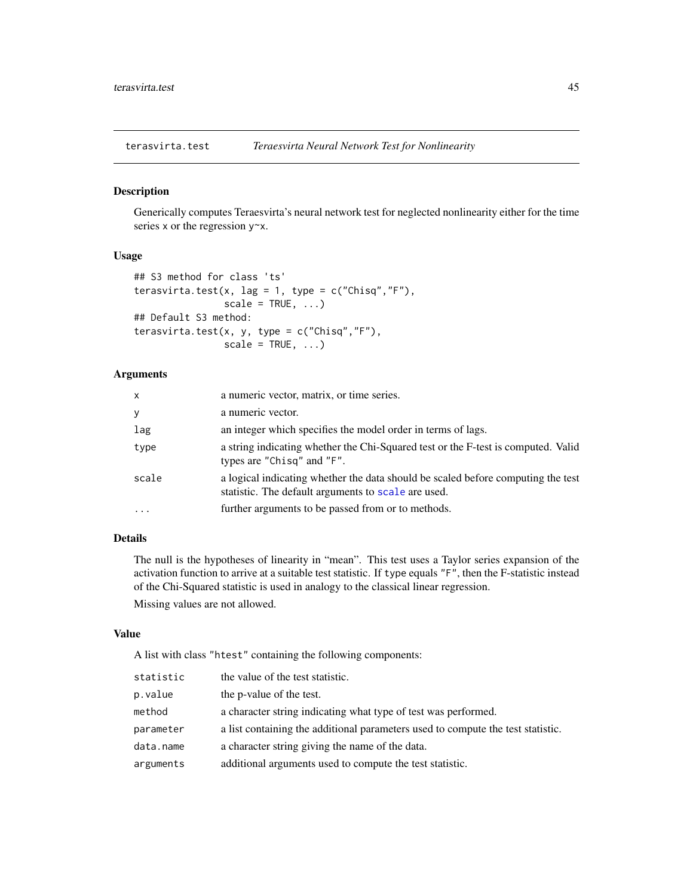<span id="page-44-1"></span><span id="page-44-0"></span>

Generically computes Teraesvirta's neural network test for neglected nonlinearity either for the time series x or the regression y~x.

#### Usage

```
## S3 method for class 'ts'
terasvirta.test(x, lag = 1, type = c("Chisq", "F"),
                scale = TRUE, ...)## Default S3 method:
terasvirta.test(x, y, type = c("Chisq", "F"),
                scale = TRUE, ...
```
#### Arguments

| X        | a numeric vector, matrix, or time series.                                                                                               |
|----------|-----------------------------------------------------------------------------------------------------------------------------------------|
| y        | a numeric vector.                                                                                                                       |
| lag      | an integer which specifies the model order in terms of lags.                                                                            |
| type     | a string indicating whether the Chi-Squared test or the F-test is computed. Valid<br>types are "Chisq" and "F".                         |
| scale    | a logical indicating whether the data should be scaled before computing the test<br>statistic. The default arguments to scale are used. |
| $\cdots$ | further arguments to be passed from or to methods.                                                                                      |

#### Details

The null is the hypotheses of linearity in "mean". This test uses a Taylor series expansion of the activation function to arrive at a suitable test statistic. If type equals "F", then the F-statistic instead of the Chi-Squared statistic is used in analogy to the classical linear regression.

Missing values are not allowed.

#### Value

A list with class "htest" containing the following components:

| statistic | the value of the test statistic.                                                |
|-----------|---------------------------------------------------------------------------------|
| p.value   | the p-value of the test.                                                        |
| method    | a character string indicating what type of test was performed.                  |
| parameter | a list containing the additional parameters used to compute the test statistic. |
| data.name | a character string giving the name of the data.                                 |
| arguments | additional arguments used to compute the test statistic.                        |
|           |                                                                                 |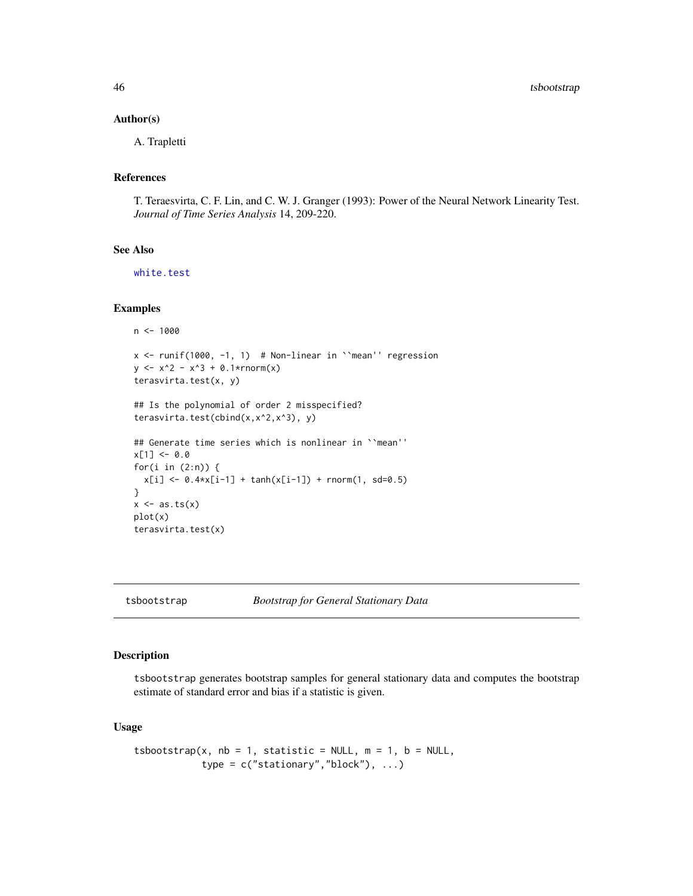<span id="page-45-0"></span>46 tsbootstrap

#### Author(s)

A. Trapletti

#### References

T. Teraesvirta, C. F. Lin, and C. W. J. Granger (1993): Power of the Neural Network Linearity Test. *Journal of Time Series Analysis* 14, 209-220.

#### See Also

[white.test](#page-48-1)

#### Examples

```
n <- 1000
x \le runif(1000, -1, 1) # Non-linear in ``mean'' regression
y \le -x^2 - x^3 + 0.1*rnorm(x)terasvirta.test(x, y)
## Is the polynomial of order 2 misspecified?
terasvirta.test(cbind(x,x^2,x^3), y)
## Generate time series which is nonlinear in ``mean''
x[1] < -0.0for(i in (2:n)) {
  x[i] <- 0.4*x[i-1] + tanh(x[i-1]) + rnorm(1, sd=0.5)
}
x \leftarrow as.ts(x)plot(x)
terasvirta.test(x)
```
<span id="page-45-1"></span>tsbootstrap *Bootstrap for General Stationary Data*

#### Description

tsbootstrap generates bootstrap samples for general stationary data and computes the bootstrap estimate of standard error and bias if a statistic is given.

#### Usage

```
tsbootstrap(x, nb = 1, statistic = NULL, m = 1, b = NULL,
           type = c("stationary","block"), ...)
```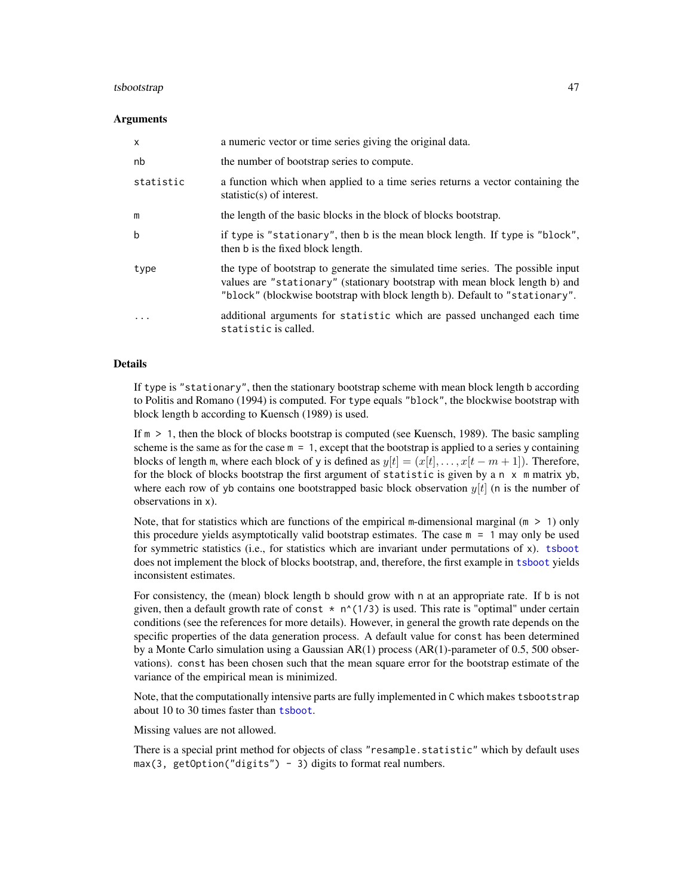#### <span id="page-46-0"></span>tsbootstrap 47

#### Arguments

| X                       | a numeric vector or time series giving the original data.                                                                                                                                                                                     |
|-------------------------|-----------------------------------------------------------------------------------------------------------------------------------------------------------------------------------------------------------------------------------------------|
| nb                      | the number of bootstrap series to compute.                                                                                                                                                                                                    |
| statistic               | a function which when applied to a time series returns a vector containing the<br>statistic(s) of interest.                                                                                                                                   |
| m                       | the length of the basic blocks in the block of blocks bootstrap.                                                                                                                                                                              |
| $\mathbf b$             | if type is "stationary", then b is the mean block length. If type is "block",<br>then b is the fixed block length.                                                                                                                            |
| type                    | the type of bootstrap to generate the simulated time series. The possible input<br>values are "stationary" (stationary bootstrap with mean block length b) and<br>"block" (blockwise bootstrap with block length b). Default to "stationary". |
| $\cdot$ $\cdot$ $\cdot$ | additional arguments for statistic which are passed unchanged each time<br>statistic is called.                                                                                                                                               |

#### Details

If type is "stationary", then the stationary bootstrap scheme with mean block length b according to Politis and Romano (1994) is computed. For type equals "block", the blockwise bootstrap with block length b according to Kuensch (1989) is used.

If  $m > 1$ , then the block of blocks bootstrap is computed (see Kuensch, 1989). The basic sampling scheme is the same as for the case  $m = 1$ , except that the bootstrap is applied to a series y containing blocks of length m, where each block of y is defined as  $y[t] = (x[t], \ldots, x[t-m+1])$ . Therefore, for the block of blocks bootstrap the first argument of statistic is given by a n x m matrix yb, where each row of yb contains one bootstrapped basic block observation  $y[t]$  (n is the number of observations in x).

Note, that for statistics which are functions of the empirical m-dimensional marginal  $(m > 1)$  only this procedure yields asymptotically valid bootstrap estimates. The case m = 1 may only be used for symmetric statistics (i.e., for statistics which are invariant under permutations of x). [tsboot](#page-0-0) does not implement the block of blocks bootstrap, and, therefore, the first example in [tsboot](#page-0-0) yields inconsistent estimates.

For consistency, the (mean) block length b should grow with n at an appropriate rate. If b is not given, then a default growth rate of const  $\star$  n^(1/3) is used. This rate is "optimal" under certain conditions (see the references for more details). However, in general the growth rate depends on the specific properties of the data generation process. A default value for const has been determined by a Monte Carlo simulation using a Gaussian AR(1) process (AR(1)-parameter of 0.5, 500 observations). const has been chosen such that the mean square error for the bootstrap estimate of the variance of the empirical mean is minimized.

Note, that the computationally intensive parts are fully implemented in C which makes tsbootstrap about 10 to 30 times faster than [tsboot](#page-0-0).

Missing values are not allowed.

There is a special print method for objects of class "resample.statistic" which by default uses max(3, getOption("digits") - 3) digits to format real numbers.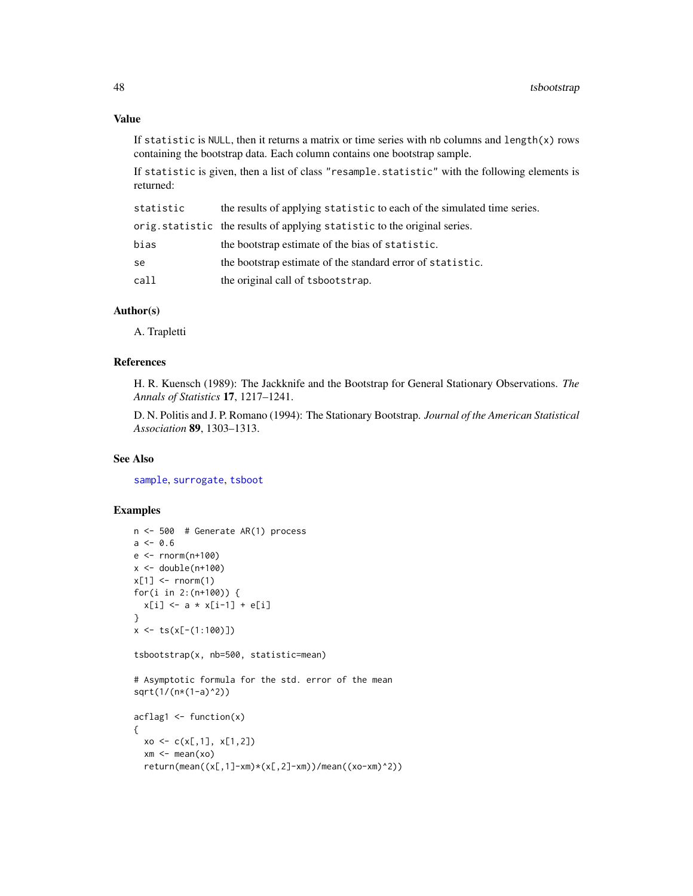If statistic is NULL, then it returns a matrix or time series with nb columns and length(x) rows containing the bootstrap data. Each column contains one bootstrap sample.

If statistic is given, then a list of class "resample.statistic" with the following elements is returned:

| statistic | the results of applying statistic to each of the simulated time series.   |
|-----------|---------------------------------------------------------------------------|
|           | orig. statistic the results of applying statistic to the original series. |
| bias      | the bootstrap estimate of the bias of statistic.                          |
| se        | the bootstrap estimate of the standard error of statistic.                |
| call      | the original call of tsbootstrap.                                         |

#### Author(s)

A. Trapletti

#### References

H. R. Kuensch (1989): The Jackknife and the Bootstrap for General Stationary Observations. *The Annals of Statistics* 17, 1217–1241.

D. N. Politis and J. P. Romano (1994): The Stationary Bootstrap. *Journal of the American Statistical Association* 89, 1303–1313.

#### See Also

[sample](#page-0-0), [surrogate](#page-41-1), [tsboot](#page-0-0)

```
n <- 500 # Generate AR(1) process
a < -0.6e <- rnorm(n+100)
x < - double(n+100)
x[1] <- rnorm(1)for(i in 2:(n+100)) {
  x[i] <- a * x[i-1] + e[i]}
x \leftarrow ts(x[-(1:100)])tsbootstrap(x, nb=500, statistic=mean)
# Asymptotic formula for the std. error of the mean
sqrt(1/(n*(1-a)^2))
acflag1 <- function(x)
{
 xo \leftarrow c(x[, 1], x[1,2])xm \leftarrow mean(xo)return(mean((x[, 1]-xm)*(x[, 2]-xm))/mean((xo-xm)^2))
```
<span id="page-47-0"></span>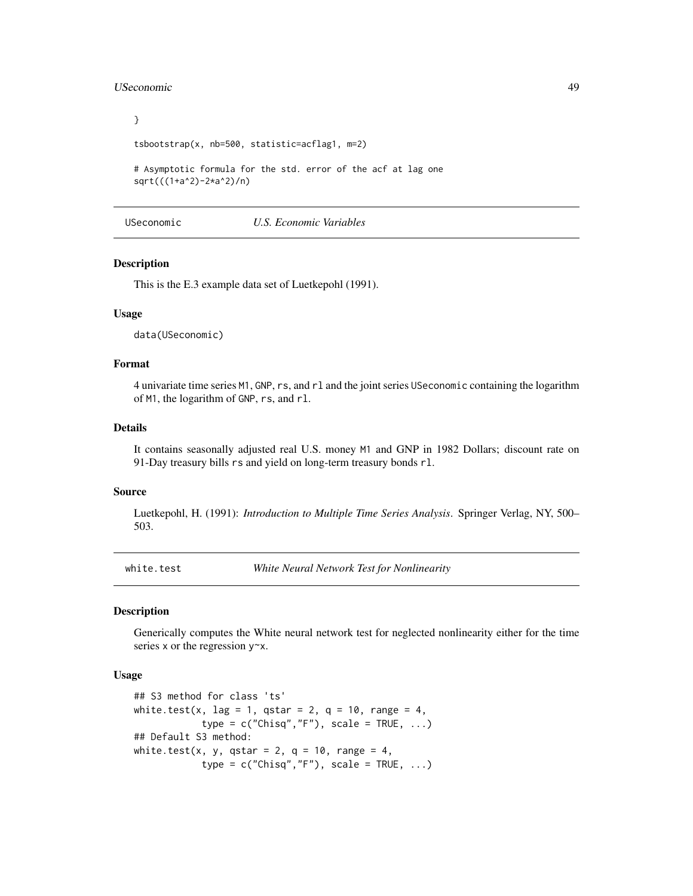#### <span id="page-48-0"></span>USeconomic 49

```
}
tsbootstrap(x, nb=500, statistic=acflag1, m=2)
# Asymptotic formula for the std. error of the acf at lag one
sqrt(((1+a^2)-2*a^2)/n)
```
USeconomic *U.S. Economic Variables*

#### Description

This is the E.3 example data set of Luetkepohl (1991).

#### Usage

data(USeconomic)

#### Format

4 univariate time series M1, GNP, rs, and rl and the joint series USeconomic containing the logarithm of M1, the logarithm of GNP, rs, and rl.

#### Details

It contains seasonally adjusted real U.S. money M1 and GNP in 1982 Dollars; discount rate on 91-Day treasury bills rs and yield on long-term treasury bonds rl.

#### Source

Luetkepohl, H. (1991): *Introduction to Multiple Time Series Analysis*. Springer Verlag, NY, 500– 503.

<span id="page-48-1"></span>white.test *White Neural Network Test for Nonlinearity*

#### **Description**

Generically computes the White neural network test for neglected nonlinearity either for the time series x or the regression y~x.

#### Usage

```
## S3 method for class 'ts'
white.test(x, lag = 1, qstar = 2, q = 10, range = 4,
            type = c("Chisq", "F"), scale = TRUE, ...)
## Default S3 method:
white.test(x, y, qstar = 2, q = 10, range = 4,
            type = c("Chisq", "F"), scale = TRUE, ...)
```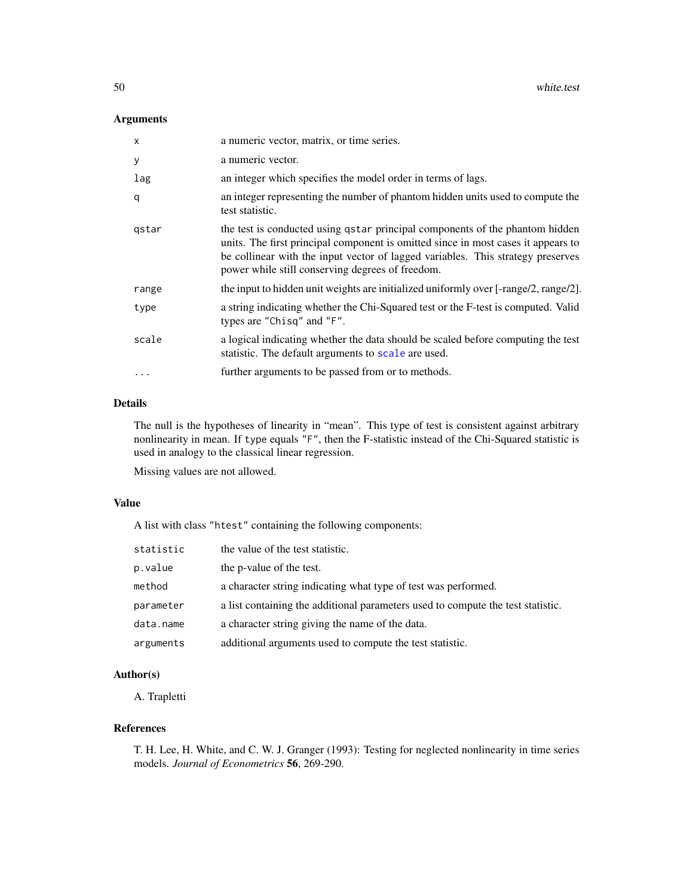#### <span id="page-49-0"></span>Arguments

| $\times$  | a numeric vector, matrix, or time series.                                                                                                                                                                                                                                                                |
|-----------|----------------------------------------------------------------------------------------------------------------------------------------------------------------------------------------------------------------------------------------------------------------------------------------------------------|
| У         | a numeric vector.                                                                                                                                                                                                                                                                                        |
| lag       | an integer which specifies the model order in terms of lags.                                                                                                                                                                                                                                             |
| q         | an integer representing the number of phantom hidden units used to compute the<br>test statistic.                                                                                                                                                                                                        |
| gstar     | the test is conducted using qstar principal components of the phantom hidden<br>units. The first principal component is omitted since in most cases it appears to<br>be collinear with the input vector of lagged variables. This strategy preserves<br>power while still conserving degrees of freedom. |
| range     | the input to hidden unit weights are initialized uniformly over [-range/2, range/2].                                                                                                                                                                                                                     |
| type      | a string indicating whether the Chi-Squared test or the F-test is computed. Valid<br>types are "Chisq" and "F".                                                                                                                                                                                          |
| scale     | a logical indicating whether the data should be scaled before computing the test<br>statistic. The default arguments to scale are used.                                                                                                                                                                  |
| $\ddotsc$ | further arguments to be passed from or to methods.                                                                                                                                                                                                                                                       |

#### Details

The null is the hypotheses of linearity in "mean". This type of test is consistent against arbitrary nonlinearity in mean. If type equals "F", then the F-statistic instead of the Chi-Squared statistic is used in analogy to the classical linear regression.

Missing values are not allowed.

#### Value

A list with class "htest" containing the following components:

| statistic | the value of the test statistic.                                                |
|-----------|---------------------------------------------------------------------------------|
| p.value   | the p-value of the test.                                                        |
| method    | a character string indicating what type of test was performed.                  |
| parameter | a list containing the additional parameters used to compute the test statistic. |
| data.name | a character string giving the name of the data.                                 |
| arguments | additional arguments used to compute the test statistic.                        |

#### Author(s)

A. Trapletti

#### References

T. H. Lee, H. White, and C. W. J. Granger (1993): Testing for neglected nonlinearity in time series models. *Journal of Econometrics* 56, 269-290.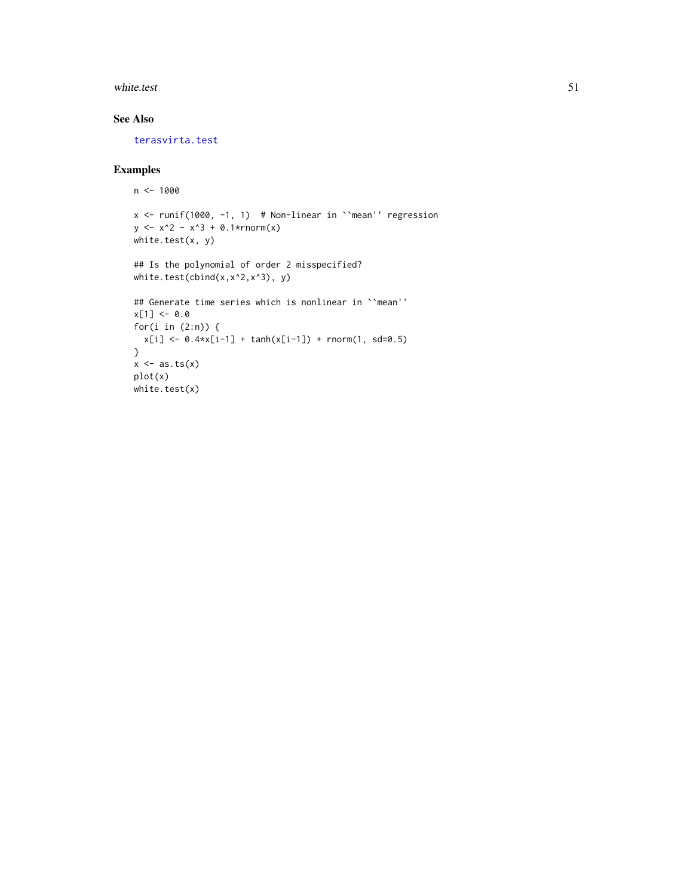#### <span id="page-50-0"></span>white.test 51

#### See Also

[terasvirta.test](#page-44-1)

```
n < - 1000x <- runif(1000, -1, 1) # Non-linear in ``mean'' regression
y \le -x^2 - x^3 + 0.1*rnorm(x)white.test(x, y)
## Is the polynomial of order 2 misspecified?
white.test(cbind(x,x^2,x^3), y)
## Generate time series which is nonlinear in ``mean''
x[1] < -0.0for(i in (2:n)) {
  x[i] <- 0.4*x[i-1] + tanh(x[i-1]) + rnorm(1, sd=0.5)
}
x \leftarrow as.ts(x)plot(x)
white.test(x)
```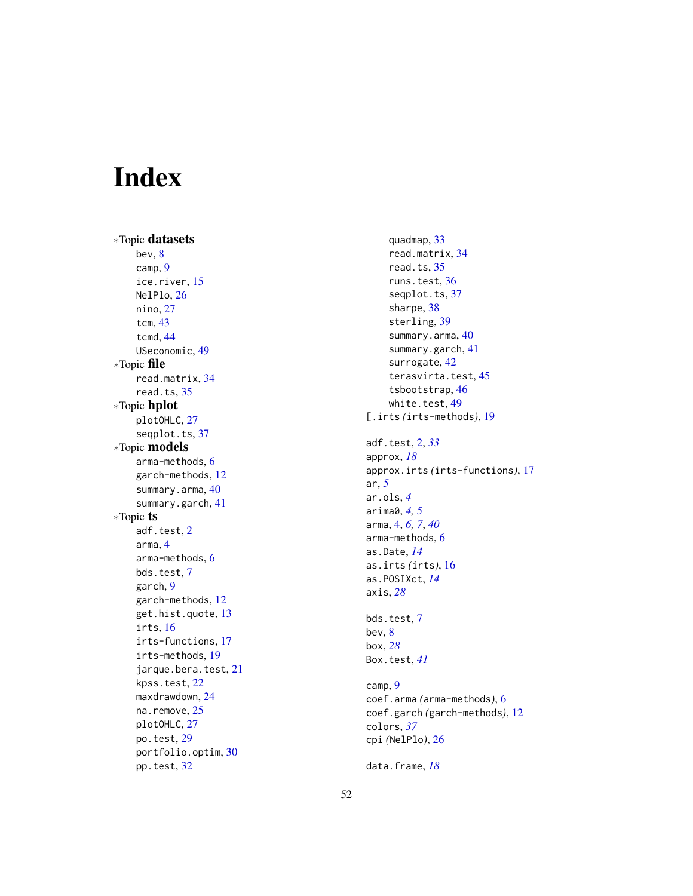# <span id="page-51-0"></span>Index

∗Topic datasets bev , [8](#page-7-0) camp , [9](#page-8-0) ice.river , [15](#page-14-0) NelPlo, [26](#page-25-0) nino , [27](#page-26-0) tcm , [43](#page-42-0) tcmd , [44](#page-43-0) USeconomic , [49](#page-48-0) ∗Topic file read.matrix , [34](#page-33-0) read.ts, [35](#page-34-0) ∗Topic hplot plotOHLC , [27](#page-26-0) seqplot.ts, [37](#page-36-0) ∗Topic models arma-methods , [6](#page-5-0) garch-methods , [12](#page-11-0) summary.arma, [40](#page-39-0) summary.garch , [41](#page-40-0) ∗Topic ts adf.test, [2](#page-1-0) arma , [4](#page-3-0) arma-methods , [6](#page-5-0) bds.test , [7](#page-6-0) garch , [9](#page-8-0) garch-methods , [12](#page-11-0) get.hist.quote , [13](#page-12-0) irts , [16](#page-15-0) irts-functions , [17](#page-16-0) irts-methods , [19](#page-18-0) jarque.bera.test , [21](#page-20-0) kpss.test , [22](#page-21-0) maxdrawdown, [24](#page-23-0) na.remove, [25](#page-24-0) plotOHLC , [27](#page-26-0) po.test , [29](#page-28-0) portfolio.optim , [30](#page-29-0) pp.test , [32](#page-31-0)

quadmap , [33](#page-32-0) read.matrix , [34](#page-33-0) read.ts, [35](#page-34-0) runs.test, [36](#page-35-0) seqplot.ts, [37](#page-36-0) sharpe, [38](#page-37-0) sterling, [39](#page-38-0) summary.arma, [40](#page-39-0) summary.garch, [41](#page-40-0) surrogate , [42](#page-41-0) terasvirta.test , [45](#page-44-0) tsbootstrap , [46](#page-45-0) white.test, [49](#page-48-0) [.irts *(*irts-methods *)* , [19](#page-18-0) adf.test , [2](#page-1-0) , *[33](#page-32-0)* approx , *[18](#page-17-0)* approx.irts *(*irts-functions *)* , [17](#page-16-0) ar , *[5](#page-4-0)* ar.ols , *[4](#page-3-0)* arima0 , *[4](#page-3-0) , [5](#page-4-0)* arma , [4](#page-3-0) , *[6,](#page-5-0) [7](#page-6-0)* , *[40](#page-39-0)* arma-methods , [6](#page-5-0) as.Date , *[14](#page-13-0)* as.irts *(*irts *)* , [16](#page-15-0) as.POSIXct , *[14](#page-13-0)* axis , *[28](#page-27-0)* bds.test , [7](#page-6-0) bev , [8](#page-7-0) box , *[28](#page-27-0)* Box.test , *[41](#page-40-0)* camp , [9](#page-8-0) coef.arma *(*arma-methods *)* , [6](#page-5-0) coef.garch *(*garch-methods *)* , [12](#page-11-0) colors , *[37](#page-36-0)* cpi *(*NelPlo *)* , [26](#page-25-0)

data.frame , *[18](#page-17-0)*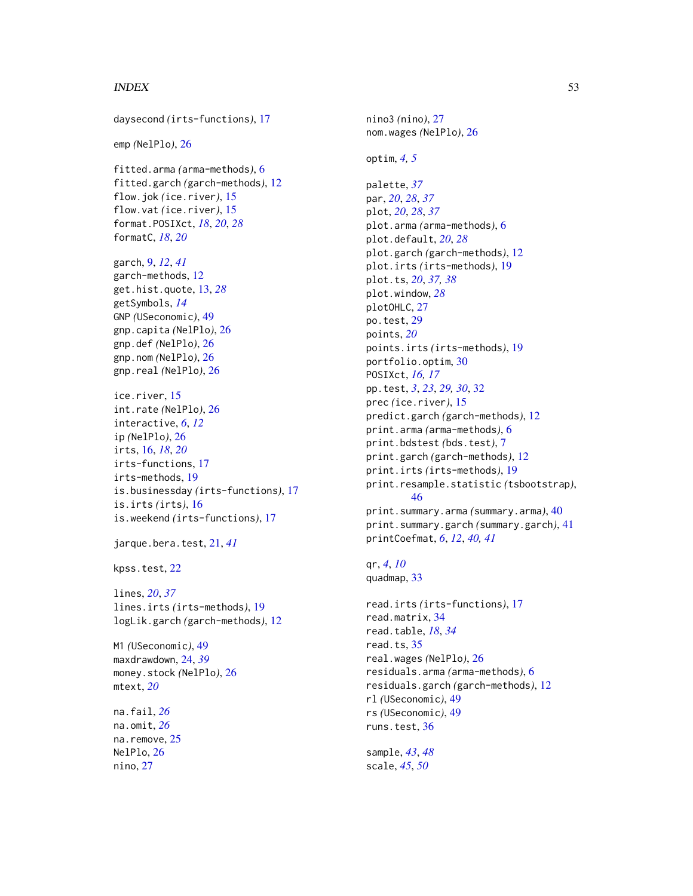#### $I<sub>N</sub>DEX$  53

daysecond *(*irts-functions*)*, [17](#page-16-0) emp *(*NelPlo*)*, [26](#page-25-0) fitted.arma *(*arma-methods*)*, [6](#page-5-0) fitted.garch *(*garch-methods*)*, [12](#page-11-0) flow.jok *(*ice.river*)*, [15](#page-14-0) flow.vat *(*ice.river*)*, [15](#page-14-0) format.POSIXct, *[18](#page-17-0)*, *[20](#page-19-0)*, *[28](#page-27-0)* formatC, *[18](#page-17-0)*, *[20](#page-19-0)* garch, [9,](#page-8-0) *[12](#page-11-0)*, *[41](#page-40-0)* garch-methods, [12](#page-11-0) get.hist.quote, [13,](#page-12-0) *[28](#page-27-0)* getSymbols, *[14](#page-13-0)* GNP *(*USeconomic*)*, [49](#page-48-0) gnp.capita *(*NelPlo*)*, [26](#page-25-0) gnp.def *(*NelPlo*)*, [26](#page-25-0) gnp.nom *(*NelPlo*)*, [26](#page-25-0) gnp.real *(*NelPlo*)*, [26](#page-25-0) ice.river, [15](#page-14-0) int.rate *(*NelPlo*)*, [26](#page-25-0) interactive, *[6](#page-5-0)*, *[12](#page-11-0)* ip *(*NelPlo*)*, [26](#page-25-0) irts, [16,](#page-15-0) *[18](#page-17-0)*, *[20](#page-19-0)* irts-functions, [17](#page-16-0) irts-methods, [19](#page-18-0) is.businessday *(*irts-functions*)*, [17](#page-16-0) is.irts *(*irts*)*, [16](#page-15-0) is.weekend *(*irts-functions*)*, [17](#page-16-0) jarque.bera.test, [21,](#page-20-0) *[41](#page-40-0)* kpss.test, [22](#page-21-0)

lines, *[20](#page-19-0)*, *[37](#page-36-0)* lines.irts *(*irts-methods*)*, [19](#page-18-0) logLik.garch *(*garch-methods*)*, [12](#page-11-0)

M1 *(*USeconomic*)*, [49](#page-48-0) maxdrawdown, [24,](#page-23-0) *[39](#page-38-0)* money.stock *(*NelPlo*)*, [26](#page-25-0) mtext, *[20](#page-19-0)*

na.fail, *[26](#page-25-0)* na.omit, *[26](#page-25-0)* na.remove, [25](#page-24-0) NelPlo, [26](#page-25-0) nino, [27](#page-26-0)

nino3 *(*nino*)*, [27](#page-26-0) nom.wages *(*NelPlo*)*, [26](#page-25-0) optim, *[4,](#page-3-0) [5](#page-4-0)* palette, *[37](#page-36-0)* par, *[20](#page-19-0)*, *[28](#page-27-0)*, *[37](#page-36-0)* plot, *[20](#page-19-0)*, *[28](#page-27-0)*, *[37](#page-36-0)* plot.arma *(*arma-methods*)*, [6](#page-5-0) plot.default, *[20](#page-19-0)*, *[28](#page-27-0)* plot.garch *(*garch-methods*)*, [12](#page-11-0) plot.irts *(*irts-methods*)*, [19](#page-18-0) plot.ts, *[20](#page-19-0)*, *[37,](#page-36-0) [38](#page-37-0)* plot.window, *[28](#page-27-0)* plotOHLC, [27](#page-26-0) po.test, [29](#page-28-0) points, *[20](#page-19-0)* points.irts *(*irts-methods*)*, [19](#page-18-0) portfolio.optim, [30](#page-29-0) POSIXct, *[16,](#page-15-0) [17](#page-16-0)* pp.test, *[3](#page-2-0)*, *[23](#page-22-0)*, *[29,](#page-28-0) [30](#page-29-0)*, [32](#page-31-0) prec *(*ice.river*)*, [15](#page-14-0) predict.garch *(*garch-methods*)*, [12](#page-11-0) print.arma *(*arma-methods*)*, [6](#page-5-0) print.bdstest *(*bds.test*)*, [7](#page-6-0) print.garch *(*garch-methods*)*, [12](#page-11-0) print.irts *(*irts-methods*)*, [19](#page-18-0) print.resample.statistic *(*tsbootstrap*)*, [46](#page-45-0) print.summary.arma *(*summary.arma*)*, [40](#page-39-0) print.summary.garch *(*summary.garch*)*, [41](#page-40-0) printCoefmat, *[6](#page-5-0)*, *[12](#page-11-0)*, *[40,](#page-39-0) [41](#page-40-0)*

## qr, *[4](#page-3-0)*, *[10](#page-9-0)*

quadmap, [33](#page-32-0)

read.irts *(*irts-functions*)*, [17](#page-16-0) read.matrix, [34](#page-33-0) read.table, *[18](#page-17-0)*, *[34](#page-33-0)* read.ts, [35](#page-34-0) real.wages *(*NelPlo*)*, [26](#page-25-0) residuals.arma *(*arma-methods*)*, [6](#page-5-0) residuals.garch *(*garch-methods*)*, [12](#page-11-0) rl *(*USeconomic*)*, [49](#page-48-0) rs *(*USeconomic*)*, [49](#page-48-0) runs.test, [36](#page-35-0)

sample, *[43](#page-42-0)*, *[48](#page-47-0)* scale, *[45](#page-44-0)*, *[50](#page-49-0)*